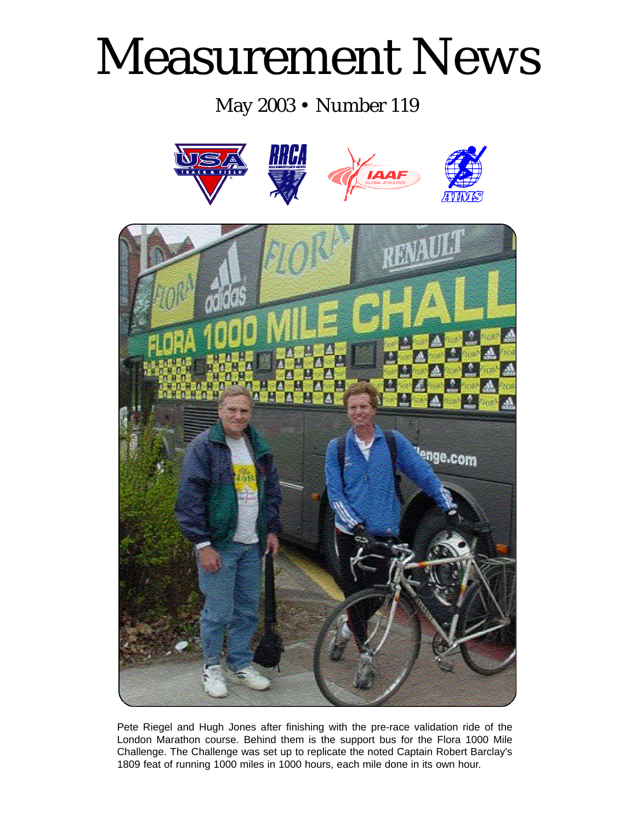# Measurement News

May 2003 • Number 119



Pete Riegel and Hugh Jones after finishing with the pre-race validation ride of the London Marathon course. Behind them is the support bus for the Flora 1000 Mile Challenge. The Challenge was set up to replicate the noted Captain Robert Barclay's 1809 feat of running 1000 miles in 1000 hours, each mile done in its own hour.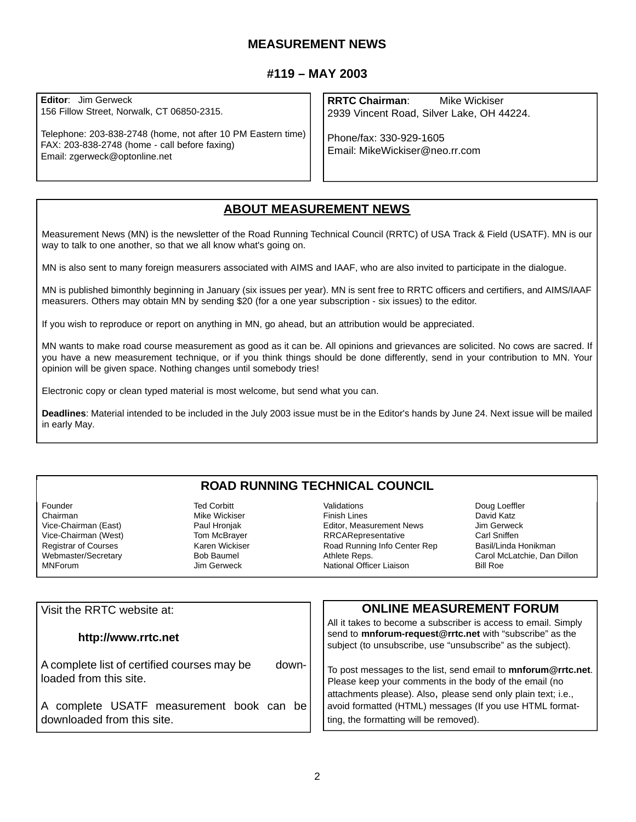#### **MEASUREMENT NEWS**

#### **#119 – MAY 2003**

**Editor**: Jim Gerweck 156 Fillow Street, Norwalk, CT 06850-2315.

Telephone: 203-838-2748 (home, not after 10 PM Eastern time) FAX: 203-838-2748 (home - call before faxing) Email: zgerweck@optonline.net

**RRTC Chairman**: Mike Wickiser 2939 Vincent Road, Silver Lake, OH 44224.

Phone/fax: 330-929-1605 Email: MikeWickiser@neo.rr.com

#### **ABOUT MEASUREMENT NEWS**

Measurement News (MN) is the newsletter of the Road Running Technical Council (RRTC) of USA Track & Field (USATF). MN is our way to talk to one another, so that we all know what's going on.

MN is also sent to many foreign measurers associated with AIMS and IAAF, who are also invited to participate in the dialogue.

MN is published bimonthly beginning in January (six issues per year). MN is sent free to RRTC officers and certifiers, and AIMS/IAAF measurers. Others may obtain MN by sending \$20 (for a one year subscription - six issues) to the editor.

If you wish to reproduce or report on anything in MN, go ahead, but an attribution would be appreciated.

MN wants to make road course measurement as good as it can be. All opinions and grievances are solicited. No cows are sacred. If you have a new measurement technique, or if you think things should be done differently, send in your contribution to MN. Your opinion will be given space. Nothing changes until somebody tries!

Electronic copy or clean typed material is most welcome, but send what you can.

**Deadlines**: Material intended to be included in the July 2003 issue must be in the Editor's hands by June 24. Next issue will be mailed in early May.

#### **ROAD RUNNING TECHNICAL COUNCIL**

Founder **Ted Corbitt**<br>Chairman **Ted Corpius Chairman** Vice-Chairman (East) **Paul Hronjak**<br>Vice-Chairman (West) Paul Hom McBraver Vice-Chairman (West) Tom McBrayer<br>
Registrar of Courses The Karen Wickiser Registrar of Courses Webmaster/Secretary **Bob Baumel**<br>MNForum Book Baumel Book

**Mike Wickiser** Jim Gerweck

Validations **Doug Loeffler**<br>
Finish Lines **David Katz** Editor, Measurement News<br>
RRCARepresentative<br>
Carl Sniffen RRCARepresentative Carl Sniffen<br>
Road Running Info Center Rep
Basil/Linda Honikman Road Running Info Center Rep Athlete Reps.<br>
National Officer Liaison<br>
Bill Roe<br>
Bill Roe National Officer Liaison

David Katz<br>Jim Gerweck

| Visit the RRTC website at:                  | <b>ONLINE MEASUREMENT FORUM</b>                                                                                                                                                           |
|---------------------------------------------|-------------------------------------------------------------------------------------------------------------------------------------------------------------------------------------------|
| http://www.rrtc.net                         | All it takes to become a subscriber is access to email. Simply<br>send to mnforum-request@rrtc.net with "subscribe" as the<br>subject (to unsubscribe, use "unsubscribe" as the subject). |
| A complete list of certified courses may be | To post messages to the list, send email to mnforum@rrtc.net.                                                                                                                             |
| down-                                       | Please keep your comments in the body of the email (no                                                                                                                                    |
| loaded from this site.                      | attachments please). Also, please send only plain text; i.e.,                                                                                                                             |
| A complete USATF measurement book can be    | avoid formatted (HTML) messages (If you use HTML format-                                                                                                                                  |
| downloaded from this site.                  | ting, the formatting will be removed).                                                                                                                                                    |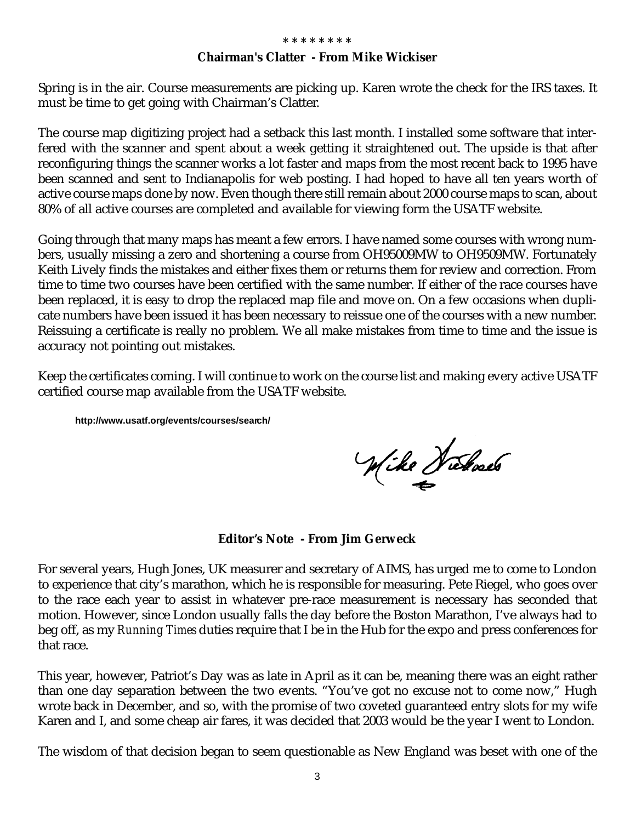#### **Chairman's Clatter - From Mike Wickiser**

Spring is in the air. Course measurements are picking up. Karen wrote the check for the IRS taxes. It must be time to get going with Chairman's Clatter.

The course map digitizing project had a setback this last month. I installed some software that interfered with the scanner and spent about a week getting it straightened out. The upside is that after reconfiguring things the scanner works a lot faster and maps from the most recent back to 1995 have been scanned and sent to Indianapolis for web posting. I had hoped to have all ten years worth of active course maps done by now. Even though there still remain about 2000 course maps to scan, about 80% of all active courses are completed and available for viewing form the USATF website.

Going through that many maps has meant a few errors. I have named some courses with wrong numbers, usually missing a zero and shortening a course from OH95009MW to OH9509MW. Fortunately Keith Lively finds the mistakes and either fixes them or returns them for review and correction. From time to time two courses have been certified with the same number. If either of the race courses have been replaced, it is easy to drop the replaced map file and move on. On a few occasions when duplicate numbers have been issued it has been necessary to reissue one of the courses with a new number. Reissuing a certificate is really no problem. We all make mistakes from time to time and the issue is accuracy not pointing out mistakes.

Keep the certificates coming. I will continue to work on the course list and making every active USATF certified course map available from the USATF website.

**http://www.usatf.org/events/courses/search/**

Wike Wickaels

**Editor's Note - From Jim Gerweck**

For several years, Hugh Jones, UK measurer and secretary of AIMS, has urged me to come to London to experience that city's marathon, which he is responsible for measuring. Pete Riegel, who goes over to the race each year to assist in whatever pre-race measurement is necessary has seconded that motion. However, since London usually falls the day before the Boston Marathon, I've always had to beg off, as my *Running Times* duties require that I be in the Hub for the expo and press conferences for that race.

This year, however, Patriot's Day was as late in April as it can be, meaning there was an eight rather than one day separation between the two events. "You've got no excuse not to come now," Hugh wrote back in December, and so, with the promise of two coveted guaranteed entry slots for my wife Karen and I, and some cheap air fares, it was decided that 2003 would be the year I went to London.

The wisdom of that decision began to seem questionable as New England was beset with one of the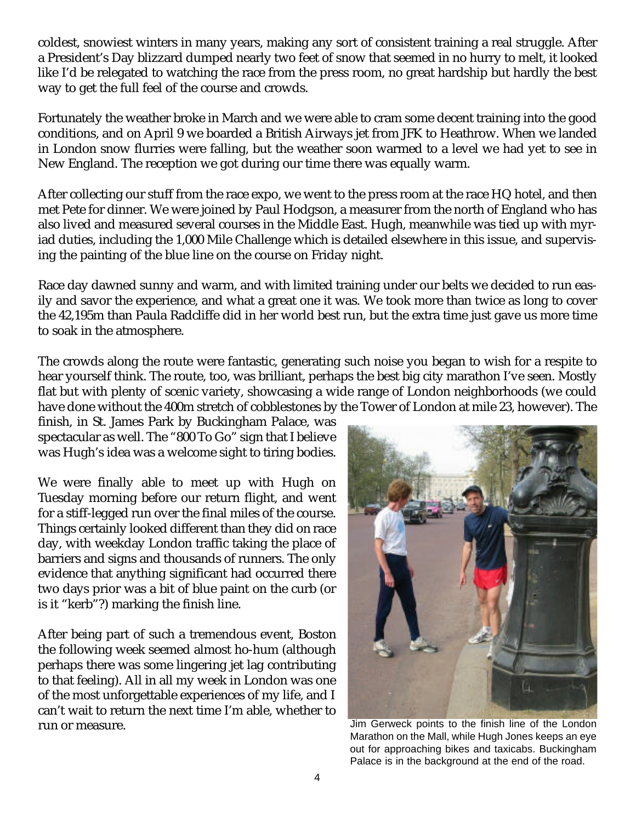coldest, snowiest winters in many years, making any sort of consistent training a real struggle. After a President's Day blizzard dumped nearly two feet of snow that seemed in no hurry to melt, it looked like I'd be relegated to watching the race from the press room, no great hardship but hardly the best way to get the full feel of the course and crowds.

Fortunately the weather broke in March and we were able to cram some decent training into the good conditions, and on April 9 we boarded a British Airways jet from JFK to Heathrow. When we landed in London snow flurries were falling, but the weather soon warmed to a level we had yet to see in New England. The reception we got during our time there was equally warm.

After collecting our stuff from the race expo, we went to the press room at the race HQ hotel, and then met Pete for dinner. We were joined by Paul Hodgson, a measurer from the north of England who has also lived and measured several courses in the Middle East. Hugh, meanwhile was tied up with myriad duties, including the 1,000 Mile Challenge which is detailed elsewhere in this issue, and supervising the painting of the blue line on the course on Friday night.

Race day dawned sunny and warm, and with limited training under our belts we decided to run easily and savor the experience, and what a great one it was. We took more than twice as long to cover the 42,195m than Paula Radcliffe did in her world best run, but the extra time just gave us more time to soak in the atmosphere.

The crowds along the route were fantastic, generating such noise you began to wish for a respite to hear yourself think. The route, too, was brilliant, perhaps the best big city marathon I've seen. Mostly flat but with plenty of scenic variety, showcasing a wide range of London neighborhoods (we could have done without the 400m stretch of cobblestones by the Tower of London at mile 23, however). The

finish, in St. James Park by Buckingham Palace, was spectacular as well. The "800 To Go" sign that I believe was Hugh's idea was a welcome sight to tiring bodies.

We were finally able to meet up with Hugh on Tuesday morning before our return flight, and went for a stiff-legged run over the final miles of the course. Things certainly looked different than they did on race day, with weekday London traffic taking the place of barriers and signs and thousands of runners. The only evidence that anything significant had occurred there two days prior was a bit of blue paint on the curb (or is it "kerb"?) marking the finish line.

After being part of such a tremendous event, Boston the following week seemed almost ho-hum (although perhaps there was some lingering jet lag contributing to that feeling). All in all my week in London was one of the most unforgettable experiences of my life, and I can't wait to return the next time I'm able, whether to **run or measure.** The same of the London in the Sum or measure. Jim Gerweck points to the finish line of the London



Marathon on the Mall, while Hugh Jones keeps an eye out for approaching bikes and taxicabs. Buckingham Palace is in the background at the end of the road.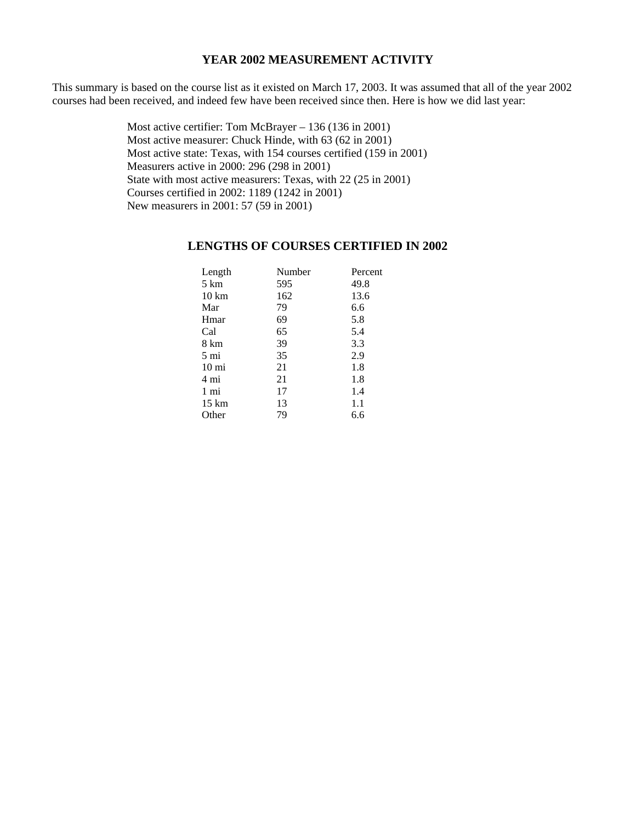#### **YEAR 2002 MEASUREMENT ACTIVITY**

This summary is based on the course list as it existed on March 17, 2003. It was assumed that all of the year 2002 courses had been received, and indeed few have been received since then. Here is how we did last year:

> Most active certifier: Tom McBrayer – 136 (136 in 2001) Most active measurer: Chuck Hinde, with 63 (62 in 2001) Most active state: Texas, with 154 courses certified (159 in 2001) Measurers active in 2000: 296 (298 in 2001) State with most active measurers: Texas, with 22 (25 in 2001) Courses certified in 2002: 1189 (1242 in 2001) New measurers in 2001: 57 (59 in 2001)

#### **LENGTHS OF COURSES CERTIFIED IN 2002**

| Length          | Number | Percent |
|-----------------|--------|---------|
| 5 km            | 595    | 49.8    |
| $10 \text{ km}$ | 162    | 13.6    |
| Mar             | 79     | 6.6     |
| Hmar            | 69     | 5.8     |
| Cal             | 65     | 5.4     |
| 8 km            | 39     | 3.3     |
| 5 mi            | 35     | 2.9     |
| $10 \text{ mi}$ | 21     | 1.8     |
| 4 mi            | 21     | 1.8     |
| 1 mi            | 17     | 1.4     |
| $15 \text{ km}$ | 13     | 1.1     |
| Other           | 79     | 6.6     |
|                 |        |         |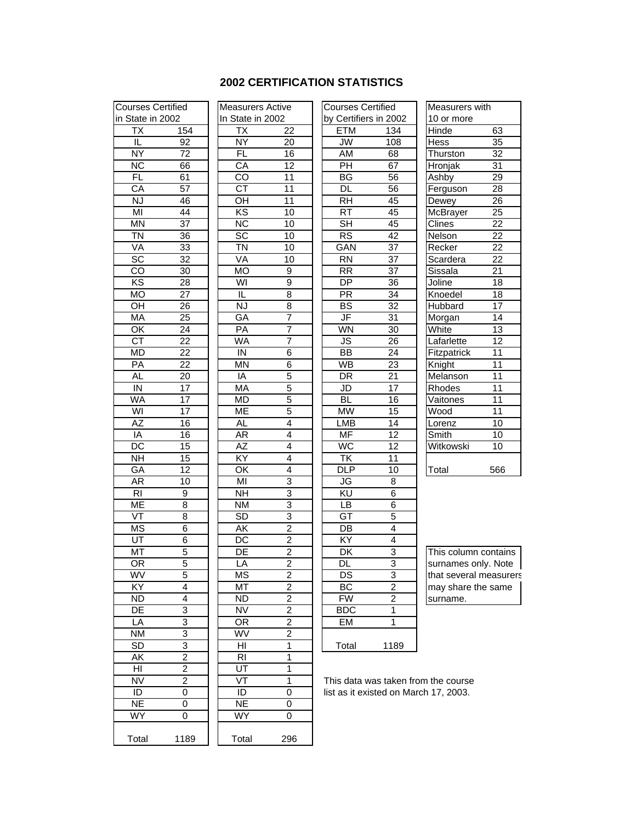#### **2002 CERTIFICATION STATISTICS**

| <b>Courses Certified</b> |                 |                          |                                                         |
|--------------------------|-----------------|--------------------------|---------------------------------------------------------|
|                          |                 | <b>Measurers Active</b>  |                                                         |
| in State in 2002         |                 | In State in 2002         |                                                         |
| ТX                       | 154             | <b>ΤX</b>                | $\overline{2}$                                          |
| ΙĹ                       | 92              | $\overline{\mathsf{NY}}$ | $\overline{2}$                                          |
| $\overline{NY}$          | $\overline{72}$ | <b>FL</b>                | 16                                                      |
| $\overline{\text{NC}}$   | 66              | CA                       | $\overline{1}$                                          |
| <b>FL</b>                | 61              | CO                       | $\overline{1}$                                          |
| CA                       | 57              | CT                       | $\overline{\mathbf{1}}$                                 |
| <b>NJ</b>                | 46              | OH                       | $\overline{1}$                                          |
| $\overline{\text{MI}}$   | 44              | ΚS                       | $\overline{1}$                                          |
| $\overline{\mathsf{MN}}$ | $\overline{37}$ | $\overline{\text{NC}}$   | $\overline{1}$                                          |
| ΤŃ                       | 36              | SC                       | $\overline{1}$                                          |
| VA                       | $\overline{33}$ | ΤÑ                       | $\overline{1}$                                          |
| $\overline{SC}$          | $\overline{32}$ | VA                       | $\overline{1}$                                          |
| CO                       | 30              | MO                       | $\overline{9}$                                          |
| $\overline{KS}$          | 28              | WI                       | $\overline{9}$                                          |
| MO                       | 27              | IL                       | $\overline{8}$                                          |
| OH                       | <u>26</u>       | NJ                       | $\frac{8}{7}$                                           |
| MA                       | $\overline{25}$ | GA                       |                                                         |
| $\overline{\mathsf{OK}}$ | 24              | PA                       | $\overline{7}$                                          |
| $\overline{\text{CT}}$   | 22              | WA                       | 7                                                       |
| <b>MD</b>                | 22              | IN                       | $\overline{6}$                                          |
| PA                       | $\overline{22}$ | ΜN                       | $\overline{6}$                                          |
| <b>AL</b>                | 20              | $\overline{IA}$          | 5                                                       |
| $\overline{I}$           | 17              | MA                       | 5                                                       |
| WA                       | $\overline{17}$ | MD                       |                                                         |
| WI                       | $\overline{17}$ | МE                       | $\frac{5}{5}$                                           |
| $\overline{AZ}$          | 16              | AL                       | $\overline{4}$                                          |
| $\overline{IA}$          | 16              | $\overline{AR}$          | $\overline{4}$                                          |
| DC                       | 15              | $\overline{AZ}$          | $\overline{4}$                                          |
| $\overline{\mathsf{NH}}$ | 15              | KY                       | $\overline{4}$                                          |
| GA                       | 12              | OK                       | $\overline{4}$                                          |
| AR                       | 10              | MI                       | 3                                                       |
| R <sub>l</sub>           | 9               | <b>NH</b>                | $\overline{3}$                                          |
| МE                       | 8               | ΝM                       |                                                         |
| $\overline{\mathsf{VT}}$ | 8               | $\overline{SD}$          | $\frac{3}{3}$                                           |
| <b>MS</b>                | 6               | ĀΚ                       | $\overline{c}$                                          |
| $\overline{\mathtt{UT}}$ | 6               | $\overline{\text{DC}}$   | $\overline{2}$                                          |
| MT                       | $\overline{5}$  | $\overline{\sf DE}$      | $\overline{2}$                                          |
| OR                       | 5               | LÄ                       | $\overline{\mathbf{c}}$                                 |
| WV                       | 5               | $M\overline{S}$          |                                                         |
| KY                       | 4               | МT                       | $\frac{2}{2}$ $\frac{2}{2}$ $\frac{2}{2}$ $\frac{2}{1}$ |
| ND                       | 4               | ND                       |                                                         |
| DE                       | 3               | NV                       |                                                         |
| LA                       | 3               | OR                       |                                                         |
| NΜ                       | $\overline{3}$  | WV                       |                                                         |
| SD                       | $\overline{3}$  | HI                       |                                                         |
| ΑK                       | $\overline{2}$  | $\overline{R}$           | 1                                                       |
| HI                       | $\overline{2}$  | UT                       | $\overline{1}$                                          |
| ÑV                       | $\overline{2}$  | VT                       | 1                                                       |
|                          | $\overline{0}$  |                          |                                                         |
| ID                       |                 | $\overline{D}$           | $\overline{0}$                                          |
| <b>NE</b>                | 0               | $\overline{\sf NE}$      | 0                                                       |
| WY                       | 0               | WY                       | 0                                                       |
| Total                    | 1189            | Total                    | 29                                                      |
|                          |                 |                          |                                                         |

| <b>Irses Certified</b>            |                 |                          | <b>Measurers Active</b> | <b>Courses Certified</b> |                 |
|-----------------------------------|-----------------|--------------------------|-------------------------|--------------------------|-----------------|
| tate in 2002                      |                 | In State in 2002         |                         | by Certifiers in 2002    |                 |
| $\overline{\mathsf{T}}\mathsf{X}$ | 154             | ТX                       | 22                      | <b>ETM</b>               | 134             |
| IL                                | 92              | <b>NY</b>                | 20                      | <b>JW</b>                | 108             |
| ΝÝ                                | 72              | $\overline{FL}$          | 16                      | AM                       | 68              |
| <b>NC</b>                         | 66              | CA                       | 12                      | PH                       | 67              |
| $\overline{FL}$                   | 61              | $\overline{C}$           | 11                      | $\overline{BG}$          | 56              |
| CA                                | 57              | $\overline{\text{CT}}$   | 11                      | <b>DL</b>                | 56              |
| <b>NJ</b>                         | 46              | OH                       | 11                      | <b>RH</b>                | 45              |
| MI                                | 44              | KS                       | $\overline{10}$         | $\overline{RT}$          | 45              |
| $\overline{\mathsf{MN}}$          | $\overline{37}$ | $\overline{\text{NC}}$   | 10                      | $\overline{\mathsf{SH}}$ | 45              |
| $\overline{\text{TN}}$            | $\overline{36}$ | $\overline{SC}$          | $\overline{10}$         | RS                       | 42              |
| VA                                | $\overline{33}$ | $\overline{\text{TN}}$   | 10                      | GAN                      | $\overline{37}$ |
| $\overline{\text{SC}}$            | $\overline{32}$ | VA                       | 10                      | $\overline{RN}$          | $\overline{37}$ |
| CO                                | 30              | <b>MO</b>                | 9                       | <b>RR</b>                | $\overline{37}$ |
| $\overline{\text{KS}}$            | 28              | $\overline{\mathsf{W}}$  | 9                       | DP                       | 36              |
| МO                                | 27              | IL                       | 8                       | PR                       | 34              |
| OН                                | 26              | <b>NJ</b>                | 8                       | $\overline{BS}$          | 32              |
| MA                                |                 | GA                       | $\overline{7}$          | JF                       | 31              |
| ŌK                                | 25<br>24        | $\overline{PA}$          | $\overline{7}$          | WN                       |                 |
|                                   |                 |                          |                         |                          | 30              |
| CT                                | 22              | WA                       | 7                       | $\overline{\mathsf{JS}}$ | 26              |
| МD                                | $\overline{22}$ | IN                       | 6                       | $\overline{BB}$          | 24              |
| PA                                | $\overline{22}$ | MN                       | 6                       | <b>WB</b>                | $\overline{23}$ |
| <b>AL</b>                         | $\overline{20}$ | IA                       | 5                       | DR                       | $\overline{21}$ |
| $\overline{\mathsf{N}}$           | 17              | <b>MA</b>                | 5                       | $\overline{5}$           | 17              |
| WA                                | 17              | MD                       | 5                       | <b>BL</b>                | 16              |
| WI                                | 17              | <b>ME</b>                | 5                       | $\overline{\text{MW}}$   | 15              |
| <b>AZ</b>                         | 16              | AL                       | 4                       | <b>LMB</b>               | 14              |
| IA                                | 16              | AR                       | 4                       | <b>MF</b>                | 12              |
| DC                                | 15              | AZ                       | $\overline{4}$          | WC                       | 12              |
| <b>NH</b>                         | 15              | $\overline{XY}$          | 4                       | <b>TK</b>                | 11              |
| GA                                | 12              | OK                       | 4                       | $\overline{DLP}$         | 10              |
| AR                                | 10              | $\overline{\mathsf{M}}$  | 3                       | JG                       | 8               |
| R <sub>l</sub>                    | 9               | <b>NH</b>                | 3                       | ΚU                       | 6               |
| МE                                | 8               | $\overline{\text{NM}}$   | $\overline{3}$          | LB                       | 6               |
| VT                                | $\overline{8}$  | SD                       | $\overline{3}$          | $\overline{GT}$          | 5               |
| $\overline{\mathsf{MS}}$          | 6               | $\overline{\mathsf{AK}}$ | $\overline{2}$          | $\overline{DB}$          | 4               |
| UT                                | 6               | $\overline{DC}$          | $\overline{2}$          | $\overline{XY}$          | $\overline{4}$  |
| МT                                | 5               | $\overline{DE}$          | $\overline{2}$          | $\overline{\mathsf{DK}}$ | 3               |
| $\overline{\mathsf{OR}}$          | 5               | LA                       | $\overline{2}$          | DL                       | $\overline{3}$  |
| WV                                | 5               | <b>MS</b>                | $\overline{c}$          | DS                       | 3               |
| KY                                | 4               | MT                       | 2                       | BC                       | 2               |
| ND                                | 4               | ND                       | $\overline{c}$          | <b>FW</b>                | 2               |
| DE                                | 3               | <b>NV</b>                | $\overline{\mathbf{c}}$ | BDC                      | 1               |
| ĪΑ                                | 3               | OR                       | $\overline{2}$          | <b>EM</b>                | 1               |
| ΝM                                | 3               | WV                       | 2                       |                          |                 |
| SD                                | 3               | HI                       | 1                       | Total                    | 1189            |
| ĀΚ                                | $\overline{2}$  | <b>RI</b>                | 1                       |                          |                 |
| HI                                | 2               | ŪT                       | 1                       |                          |                 |
| NV                                | 2               | VT                       | 1                       | This data was taker      |                 |
| ID                                | 0               | ID                       | 0                       | list as it existed on I  |                 |
| NΕ                                | 0               | NE                       | 0                       |                          |                 |
| ŴΥ                                | 0               | WY                       | 0                       |                          |                 |
|                                   |                 |                          |                         |                          |                 |
|                                   |                 |                          |                         |                          |                 |

Total 296

| Courses Certified               |                         | <b>Measurers Active</b>  |                 | <b>Courses Certified</b> |                       | Measurers with |                 |
|---------------------------------|-------------------------|--------------------------|-----------------|--------------------------|-----------------------|----------------|-----------------|
| in State in 2002                |                         | In State in 2002         |                 |                          | by Certifiers in 2002 | 10 or more     |                 |
| TX                              | 154                     | <b>TX</b>                | 22              | <b>ETM</b>               | 134                   | Hinde          | 63              |
| Ī                               | $\overline{92}$         | NY                       | $\overline{20}$ | $\overline{\mathsf{JW}}$ | 108                   | <b>Hess</b>    | 35              |
| <b>NY</b>                       | $\overline{72}$         | $\overline{FL}$          | 16              | AM                       | 68                    | Thurston       | 32              |
| $\overline{\text{NC}}$          | 66                      | CA                       | 12              | PH                       | 67                    | Hronjak        | 31              |
| $\overline{FL}$                 | 61                      | $\overline{c}$           | $\overline{11}$ | $\overline{BG}$          | 56                    | Ashby          | 29              |
| $\overline{CA}$                 | $\overline{57}$         | $\overline{\text{CT}}$   | 11              | <b>DL</b>                | 56                    | Ferguson       | 28              |
| <b>NJ</b>                       | 46                      | OH                       | 11              | <b>RH</b>                | 45                    | Dewey          | 26              |
| $\overline{M}$                  | $\overline{44}$         | KS                       | $\overline{10}$ | RT                       | 45                    | McBrayer       | $\overline{25}$ |
| <b>MN</b>                       | $\overline{37}$         | $\overline{\text{NC}}$   | 10              | $\overline{\mathsf{SH}}$ | 45                    | <b>Clines</b>  | $\overline{22}$ |
| $\overline{T}N$                 | 36                      | $\overline{SC}$          | 10              | $\overline{\text{RS}}$   | 42                    | Nelson         | $\overline{22}$ |
| VA                              | $\overline{33}$         | $\overline{\text{TN}}$   | 10              | GAN                      | $\overline{37}$       | Recker         | $\overline{22}$ |
| $\overline{SC}$                 | $\overline{32}$         | VA                       | 10              | $\overline{RN}$          | $\overline{37}$       | Scardera       | $\overline{22}$ |
| $\overline{\text{co}}$          | 30                      | $\overline{MO}$          | $\overline{9}$  | $\overline{RR}$          | 37                    | Sissala        | $\overline{21}$ |
| $\overline{KS}$                 | 28                      | $\overline{\mathsf{W}}$  | $\overline{9}$  | $\overline{DP}$          | 36                    | Joline         | 18              |
| <b>MO</b>                       | 27                      | IL                       | 8               | <b>PR</b>                | 34                    | Knoedel        | 18              |
| $\overline{\overline{\Omega}}$  | 26                      | <b>NJ</b>                | $\overline{8}$  | $\overline{BS}$          | $\overline{32}$       | Hubbard        | $\overline{17}$ |
| MA                              | 25                      | GA                       | $\overline{7}$  | $\overline{\mathsf{JF}}$ | 31                    | Morgan         | 14              |
| OK                              | 24                      | PA                       | 7               | <b>WN</b>                | 30                    | White          | 13              |
| CT                              | 22                      | <b>WA</b>                | $\overline{7}$  | <b>JS</b>                | 26                    | Lafarlette     | 12              |
| <b>MD</b>                       | 22                      | IN                       | 6               | <b>BB</b>                | 24                    | Fitzpatrick    | 11              |
| $\overline{PA}$                 | 22                      | MN                       | 6               | <b>WB</b>                | 23                    | Knight         | 11              |
| <b>AL</b>                       | 20                      | IA                       | 5               | $\overline{DR}$          | 21                    | Melanson       | 11              |
| $\overline{\mathsf{I}}$         | 17                      | MA                       | 5               | JD                       | 17                    | Rhodes         | $\overline{11}$ |
| <b>WA</b>                       | 17                      | <b>MD</b>                | 5               | BL                       | $\overline{16}$       | Vaitones       | $\overline{11}$ |
| WI                              | 17                      | ME                       | 5               | <b>MW</b>                | 15                    | Wood           | 11              |
| AΖ                              | 16                      | AL                       | $\overline{4}$  | <b>LMB</b>               | 14                    | Lorenz         | 10              |
| IA                              | $\overline{16}$         | <b>AR</b>                | 4               | $\overline{\mathsf{MF}}$ | $\overline{12}$       | Smith          | 10              |
| $\overline{DC}$                 | $\overline{15}$         | AZ                       | 4               | <b>WC</b>                | $\overline{12}$       | Witkowski      | 10              |
| $\overline{\overline{\bf \Pi}}$ | $\overline{15}$         | KY                       | 4               | $\overline{\mathsf{TK}}$ | 11                    |                |                 |
| $\overline{GA}$                 | $\overline{12}$         | $\overline{\mathsf{OK}}$ | $\overline{4}$  | <b>DLP</b>               | 10                    | Total          | 566             |
| $\overline{AR}$                 | 10                      | $\overline{\mathsf{M}}$  | $\overline{3}$  | JG                       | $\overline{8}$        |                |                 |
| R <sub>l</sub>                  | 9                       | <b>NH</b>                | 3               | KU                       | 6                     |                |                 |
| <b>ME</b>                       | $\overline{8}$          | <b>NM</b>                | $\overline{3}$  | LB                       | $\overline{6}$        |                |                 |
| $V$ T                           | $\overline{8}$          | $\overline{SD}$          | $\overline{3}$  | GT                       | $\overline{5}$        |                |                 |
| <b>MS</b>                       | $\overline{6}$          | <b>AK</b>                | $\overline{2}$  | $\overline{DB}$          | $\overline{4}$        |                |                 |
| $\overline{11}$                 | $\overline{\mathsf{c}}$ | $\overline{P}$           | $\overline{2}$  | κv                       | Λ                     |                |                 |

DK 3 This column contains DL 3 surnames only. Note DS 3 that several measurers  $BC \t 2 \t | may share the same$ FW 2 surname.

This data was taken from the course list as it existed on March 17, 2003.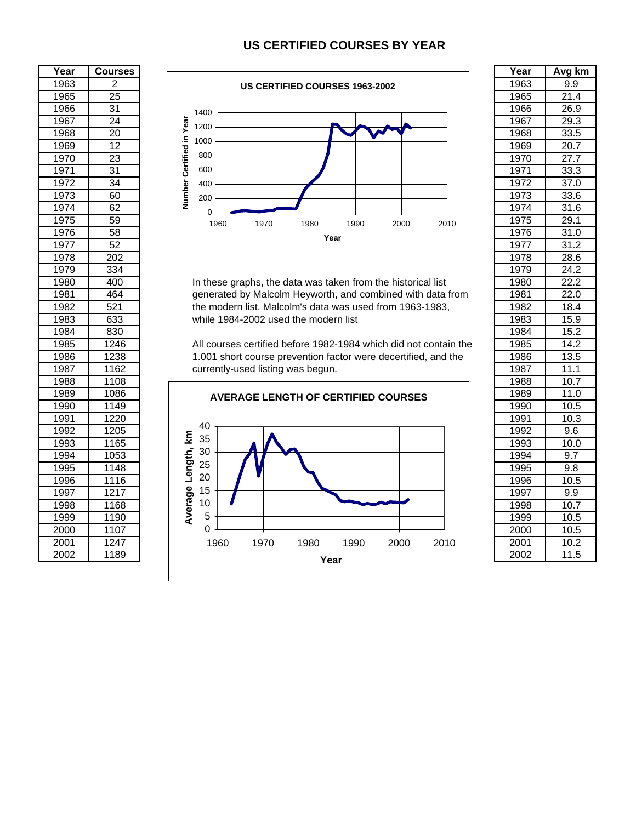#### **US CERTIFIED COURSES BY YEAR**

| Year | <b>Courses</b>  |                                                                  | Year | Avg k             |
|------|-----------------|------------------------------------------------------------------|------|-------------------|
| 1963 | 2               | <b>US CERTIFIED COURSES 1963-2002</b>                            | 1963 | 9.9               |
| 1965 | $\overline{25}$ |                                                                  | 1965 | 21.4              |
| 1966 | $\overline{31}$ | 1400                                                             | 1966 | 26.9              |
| 1967 | $\overline{24}$ | 1200                                                             | 1967 | 29.3              |
| 1968 | $\overline{20}$ | Number Certified in Year                                         | 1968 | 33.5              |
| 1969 | $\overline{12}$ | 1000                                                             | 1969 | 20.7              |
| 1970 | 23              | 800                                                              | 1970 | 27.7              |
| 1971 | $\overline{31}$ | 600                                                              | 1971 | 33.3              |
| 1972 | 34              | 400                                                              | 1972 | 37.0              |
| 1973 | 60              | 200                                                              | 1973 | 33.6              |
| 1974 | 62              | $\Omega$                                                         | 1974 | 31.6              |
| 1975 | 59              | 1960<br>1970<br>1980<br>1990<br>2010<br>2000                     | 1975 | 29.1              |
| 1976 | 58              | Year                                                             | 1976 | 31.0              |
| 1977 | 52              |                                                                  | 1977 | 31.2              |
| 1978 | 202             |                                                                  | 1978 | 28.6              |
| 1979 | 334             |                                                                  | 1979 | 24.2              |
| 1980 | 400             | In these graphs, the data was taken from the historical list     | 1980 | 22.2              |
| 1981 | 464             | generated by Malcolm Heyworth, and combined with data from       | 1981 | 22.0              |
| 1982 | 521             | the modern list. Malcolm's data was used from 1963-1983,         | 1982 | 18.4              |
| 1983 | 633             | while 1984-2002 used the modern list                             | 1983 | 15.9              |
| 1984 | 830             |                                                                  | 1984 | 15.2              |
| 1985 | 1246            | All courses certified before 1982-1984 which did not contain the | 1985 | 14.2              |
| 1986 | 1238            | 1.001 short course prevention factor were decertified, and the   | 1986 | 13.5              |
| 1987 | 1162            | currently-used listing was begun.                                | 1987 | 11.1              |
| 1988 | 1108            |                                                                  | 1988 | 10.7              |
| 1989 | 1086            | <b>AVERAGE LENGTH OF CERTIFIED COURSES</b>                       | 1989 | 11.0              |
| 1990 | 1149            |                                                                  | 1990 | 10.5              |
| 1991 | 1220            |                                                                  | 1991 | 10.3              |
| 1992 | 1205            | 40                                                               | 1992 | 9.6               |
| 1993 | 1165            | Κm<br>35                                                         | 1993 | $\overline{10.0}$ |
| 1994 | 1053            | 30                                                               | 1994 | 9.7               |
| 1995 | 1148            | Length,<br>25                                                    | 1995 | 9.8               |
| 1996 | 1116            | 20                                                               | 1996 | 10.5              |
| 1997 | 1217            | Average<br>15                                                    | 1997 | 9.9               |
| 1998 | 1168            | 10                                                               | 1998 | 10.7              |
| 1999 | 1190            | $\sqrt{5}$                                                       | 1999 | 10.5              |
| 2000 | 1107            | $\overline{0}$                                                   | 2000 | 10.5              |
| 2001 | 1247            | 1960<br>1970<br>1980<br>1990<br>2000<br>2010                     | 2001 | 10.2              |
| 2002 | 1189            | Voor                                                             | 2002 | 11.5              |





| Year             | Avg km            |
|------------------|-------------------|
| 1963             | 9.9               |
| 1965             | $\overline{21.4}$ |
| 1966             | 26.9              |
| 1967             | 29.3              |
| 1968             | 33.5              |
| 1969             | $\overline{2}0.7$ |
| 1970             | $\frac{27.7}{2}$  |
| 1971             | 33.3              |
| 1972             | $\overline{3}7.0$ |
| 1973             | 33.6              |
| 1974             | 31.6              |
| 1975             | 29.1              |
| 1976             | 31.0              |
| 1977             | 31.2              |
| 1978             |                   |
| 1979             | 28.6<br>24.2      |
| 1980             | $\overline{22.2}$ |
| 1981             | 22.0              |
| 1982             | 18.4              |
| 1983             | 15.9              |
| 1984             | $\frac{1}{15.2}$  |
| 1985             | 14.2              |
| 1986             | 13.5              |
| 1987             | 11.1              |
| 1988             | 10.7              |
| 1989             | 11.0              |
| 1990             | 10.5              |
| 1991             | 10.3              |
| 1992             | 9.6               |
| 1993             | 10.0              |
| 1994             | 9.7               |
| 1995             | 9.8               |
| 1996             | $\overline{10.5}$ |
| 1997             | 9.9               |
| 1998             | 10.7              |
| 1999             | 10.5              |
| 2000             | 10.5              |
| 2001             | 10.2              |
| $\frac{1}{2002}$ | 11.5              |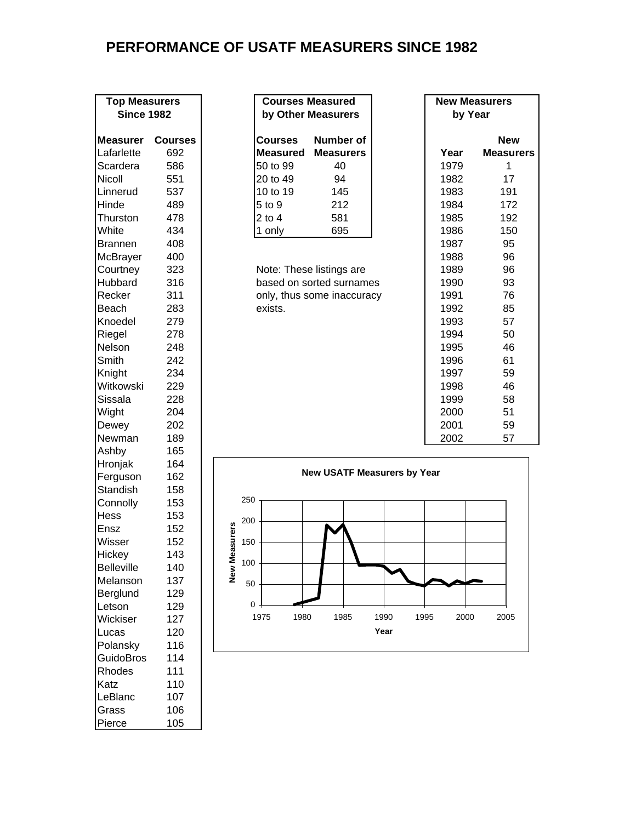## **PERFORMANCE OF USATF MEASURERS SINCE 1982**

| <b>Top Measurers</b><br><b>Since 1982</b> |                |
|-------------------------------------------|----------------|
|                                           |                |
| <b>Measurer</b>                           | <b>Course:</b> |
| Lafarlette                                | 692            |
| Scardera                                  | 586            |
| Nicoll                                    | 551            |
| Linnerud                                  | 537            |
| Hinde                                     | 489            |
| Thurston                                  | 478            |
| White                                     | 434            |
| <b>Brannen</b>                            | 408            |
| McBrayer                                  | 400            |
| Courtney                                  | 323            |
| Hubbard                                   | 316            |
| Recker                                    | 311            |
| Beach                                     | 283            |
| Knoedel                                   | 279            |
| Riegel                                    | 278            |
| Nelson                                    | 248            |
| Smith                                     | 242            |
| Knight                                    | 234            |
| Witkowski                                 | 229            |
| Sissala                                   | 228            |
| Wight                                     | 204            |
| Dewey                                     | 202            |
| Newman                                    | 189            |
| Ashby                                     | 165            |
| Hronjak                                   | 164            |
| Ferguson                                  | 162            |
| <b>Standish</b>                           | 158            |
| Connolly                                  | 153            |
| Hess                                      | 153            |
| Ensz                                      | 152            |
| Wisser                                    | 152            |
| Hickey                                    | 143            |
| <b>Belleville</b>                         | 140            |
| Melanson                                  | 137            |
| Berglund                                  | 129            |
| Letson                                    | 129            |
| Wickiser                                  | 127            |
| Lucas                                     | 120            |
| Polansky                                  | 116            |
| <b>GuidoBros</b>                          | 114            |
| Rhodes                                    | 111            |
| Katz                                      | 110            |
| LeBlanc                                   | 107            |
| Grass                                     | 106            |
| Pierce                                    | 105            |

| <b>TOD Measurers</b><br><b>Since 1982</b> |                      | Courses measured<br>by Other Measurers | by Year            | <b>New Measurers</b> |                  |
|-------------------------------------------|----------------------|----------------------------------------|--------------------|----------------------|------------------|
| <b>Measurer</b>                           | <b>Courses</b>       | <b>Courses</b>                         | Number of          |                      | <b>New</b>       |
| Lafarlette                                | 692                  |                                        | Measured Measurers | Year                 | <b>Measurers</b> |
| Scardera                                  | 586                  | 50 to 99                               | 40                 | 1979                 |                  |
| Nicoll                                    | 551                  | 20 to 49                               | 94                 | 1982                 | 17               |
| Linnerud                                  | 537                  | 10 to 19                               | 145                | 1983                 | 191              |
| Hinde                                     | 489                  | 5 to 9                                 | 212                | 1984                 | 172              |
| Thurston                                  | 478                  | 2 to 4                                 | 581                | 1985                 | 192              |
| White                                     | 434                  | 1 only                                 | 695                | 1986                 | 150              |
|                                           | $\sim$ $\sim$ $\sim$ |                                        |                    | . <u>.</u>           |                  |

| <b>Top Measurers</b><br><b>Since 1982</b> |                | <b>Courses Measured</b><br>by Other Measurers | <b>New Measurers</b><br>by Year |                  |  |  |  |
|-------------------------------------------|----------------|-----------------------------------------------|---------------------------------|------------------|--|--|--|
| Measurer                                  | <b>Courses</b> | Number of<br>Courses                          |                                 | <b>New</b>       |  |  |  |
| Lafarlette                                | 692            | <b>Measurers</b><br><b>Measured</b>           | Year                            | <b>Measurers</b> |  |  |  |
| Scardera                                  | 586            | 50 to 99<br>40                                | 1979                            | 1                |  |  |  |
| Nicoll                                    | 551            | 20 to 49<br>94                                | 1982                            | 17               |  |  |  |
| Linnerud                                  | 537            | 10 to 19<br>145                               | 1983                            | 191              |  |  |  |
| Hinde                                     | 489            | 5 to 9<br>212                                 | 1984                            | 172              |  |  |  |
| Thurston                                  | 478            | 2 to 4<br>581                                 | 1985                            | 192              |  |  |  |
| White                                     | 434            | 695<br>1 only                                 | 1986                            | 150              |  |  |  |
| <b>Brannen</b>                            | 408            |                                               | 1987                            | 95               |  |  |  |
| McBrayer                                  | 400            |                                               | 1988                            | 96               |  |  |  |
| Courtney                                  | 323            | Note: These listings are                      | 1989                            | 96               |  |  |  |
| Hubbard                                   | 316            | based on sorted surnames                      | 1990                            | 93               |  |  |  |
| Recker                                    | 311            | only, thus some inaccuracy                    | 1991                            | 76               |  |  |  |
| Beach                                     | 283            | exists.                                       | 1992                            | 85               |  |  |  |
| Knoedel                                   | 279            |                                               | 1993                            | 57               |  |  |  |
| Riegel                                    | 278            |                                               | 1994                            | 50               |  |  |  |
| Nelson                                    | 248            |                                               | 1995                            | 46               |  |  |  |
| Smith                                     | 242            |                                               | 1996                            | 61               |  |  |  |
| Knight                                    | 234            |                                               | 1997                            | 59               |  |  |  |
| Witkowski                                 | 229            |                                               | 1998                            | 46               |  |  |  |
| Sissala                                   | 228            |                                               | 1999                            | 58               |  |  |  |
| Wight                                     | 204            |                                               | 2000                            | 51               |  |  |  |
| Dewey                                     | 202            |                                               | 2001                            | 59               |  |  |  |
| Newman                                    | 189            |                                               | 2002                            | 57               |  |  |  |

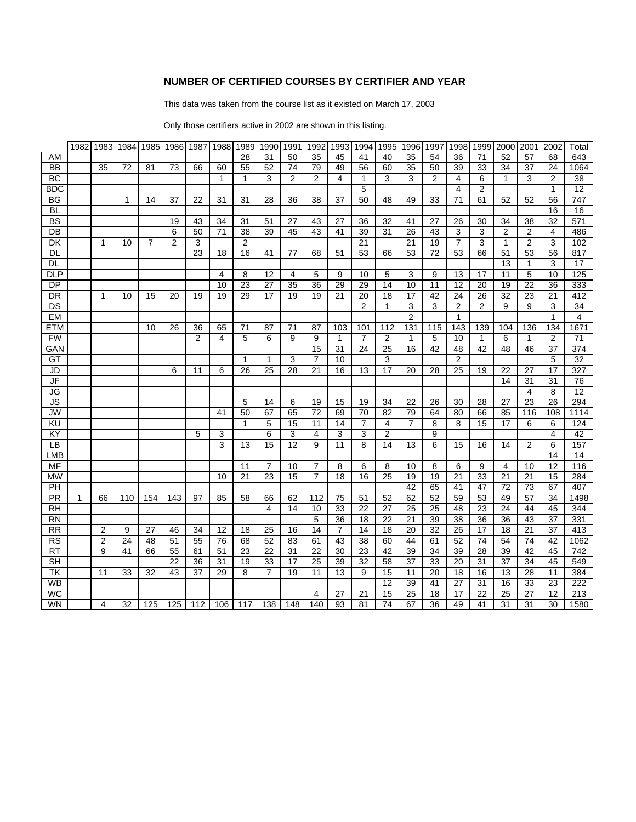#### **NUMBER OF CERTIFIED COURSES BY CERTIFIER AND YEAR**

This data was taken from the course list as it existed on March 17, 2003

Only those certifiers active in 2002 are shown in this listing.

|                          | 1982         | 1983            | 1984 |                | 1985 1986       | 1987            | 1988            | 1989         | 1990 1991       |                 | 1992            | 1993            | 1994           | 1995            | 1996           | 1997           | 1998            | 1999           | 2000            | 2001            | 2002           | Total                   |
|--------------------------|--------------|-----------------|------|----------------|-----------------|-----------------|-----------------|--------------|-----------------|-----------------|-----------------|-----------------|----------------|-----------------|----------------|----------------|-----------------|----------------|-----------------|-----------------|----------------|-------------------------|
| AM                       |              |                 |      |                |                 |                 |                 | 28           | 31              | 50              | 35              | 45              | 41             | 40              | 35             | 54             | 36              | 71             | 52              | 57              | 68             | 643                     |
| BB                       |              | $\overline{35}$ | 72   | 81             | 73              | 66              | 60              | 55           | 52              | 74              | 79              | 49              | 56             | 60              | 35             | 50             | 39              | 33             | 34              | 37              | 24             | 1064                    |
| <b>BC</b>                |              |                 |      |                |                 |                 | 1               | 1            | 3               | $\overline{2}$  | $\overline{2}$  | 4               | 1              | 3               | 3              | $\overline{2}$ | 4               | 6              | 1               | 3               | $\overline{2}$ | $\overline{38}$         |
| BDC                      |              |                 |      |                |                 |                 |                 |              |                 |                 |                 |                 | 5              |                 |                |                | 4               | $\overline{2}$ |                 |                 | 1              | 12                      |
| ΒG                       |              |                 | 1    | 14             | $\overline{37}$ | $\overline{22}$ | 31              | 31           | $\overline{28}$ | 36              | $\overline{38}$ | $\overline{37}$ | 50             | 48              | 49             | 33             | $\overline{71}$ | 61             | 52              | 52              | 56             | $\overline{747}$        |
| BL                       |              |                 |      |                |                 |                 |                 |              |                 |                 |                 |                 |                |                 |                |                |                 |                |                 |                 | 16             | 16                      |
| BS                       |              |                 |      |                | 19              | 43              | 34              | 31           | 51              | 27              | 43              | 27              | 36             | 32              | 41             | 27             | 26              | 30             | 34              | 38              | 32             | 571                     |
| $\overline{DB}$          |              |                 |      |                | 6               | 50              | $\overline{71}$ | 38           | 39              | 45              | 43              | 41              | 39             | $\overline{31}$ | 26             | 43             | 3               | 3              | $\overline{2}$  | $\overline{2}$  | 4              | 486                     |
| DK                       |              | 1               | 10   | $\overline{7}$ | $\overline{2}$  | 3               |                 | 2            |                 |                 |                 |                 | 21             |                 | 21             | 19             | $\overline{7}$  | 3              | $\mathbf{1}$    | $\overline{2}$  | 3              | 102                     |
| DL                       |              |                 |      |                |                 | 23              | 18              | 16           | 41              | 77              | 68              | 51              | 53             | 66              | 53             | 72             | 53              | 66             | 51              | 53              | 56             | 817                     |
| DL                       |              |                 |      |                |                 |                 |                 |              |                 |                 |                 |                 |                |                 |                |                |                 |                | 13              | 1               | 3              | 17                      |
| <b>DLP</b>               |              |                 |      |                |                 |                 | 4               | 8            | 12              | 4               | 5               | 9               | 10             | 5               | 3              | 9              | 13              | 17             | 11              | 5               | 10             | 125                     |
| $\overline{DP}$          |              |                 |      |                |                 |                 | 10              | 23           | $\overline{27}$ | $\overline{35}$ | 36              | 29              | 29             | 14              | 10             | 11             | 12              | 20             | 19              | 22              | 36             | 333                     |
| DR                       |              | 1               | 10   | 15             | 20              | 19              | 19              | 29           | 17              | 19              | 19              | 21              | 20             | 18              | 17             | 42             | 24              | 26             | 32              | 23              | 21             | 412                     |
| DS                       |              |                 |      |                |                 |                 |                 |              |                 |                 |                 |                 | 2              | $\mathbf{1}$    | 3              | 3              | $\overline{2}$  | $\overline{2}$ | 9               | 9               | 3              | 34                      |
| EM                       |              |                 |      |                |                 |                 |                 |              |                 |                 |                 |                 |                |                 | $\overline{2}$ |                | $\mathbf{1}$    |                |                 |                 | $\mathbf{1}$   | $\overline{\mathbf{4}}$ |
| ETM                      |              |                 |      | 10             | 26              | 36              | 65              | 71           | 87              | 71              | 87              | 103             | 101            | 112             | 131            | 115            | 143             | 139            | 104             | 136             | 134            | 1671                    |
| <b>FW</b>                |              |                 |      |                |                 | $\overline{2}$  | 4               | 5            | 6               | 9               | 9               | $\mathbf{1}$    | $\overline{7}$ | $\overline{2}$  | 1              | 5              | 10              | $\mathbf{1}$   | 6               | 1               | $\overline{2}$ | 71                      |
| GAN                      |              |                 |      |                |                 |                 |                 |              |                 |                 | 15              | 31              | 24             | $\overline{25}$ | 16             | 42             | 48              | 42             | 48              | 46              | 37             | 374                     |
| GT                       |              |                 |      |                |                 |                 |                 | $\mathbf{1}$ | $\mathbf{1}$    | 3               | $\overline{7}$  | 10              |                | 3               |                |                | $\overline{c}$  |                |                 |                 | 5              | 32                      |
| JD                       |              |                 |      |                | 6               | 11              | 6               | 26           | 25              | 28              | 21              | 16              | 13             | 17              | 20             | 28             | 25              | 19             | $\overline{22}$ | $\overline{27}$ | 17             | 327                     |
| $\overline{\mathsf{JF}}$ |              |                 |      |                |                 |                 |                 |              |                 |                 |                 |                 |                |                 |                |                |                 |                | 14              | 31              | 31             | 76                      |
| <b>JG</b>                |              |                 |      |                |                 |                 |                 |              |                 |                 |                 |                 |                |                 |                |                |                 |                |                 | 4               | 8              | $\overline{12}$         |
| JS                       |              |                 |      |                |                 |                 |                 | 5            | 14              | 6               | 19              | 15              | 19             | 34              | 22             | 26             | 30              | 28             | 27              | 23              | 26             | 294                     |
| <b>JW</b>                |              |                 |      |                |                 |                 | 41              | 50           | 67              | 65              | 72              | 69              | 70             | 82              | 79             | 64             | 80              | 66             | 85              | 116             | 108            | 1114                    |
| KU                       |              |                 |      |                |                 |                 |                 | 1            | 5               | 15              | 11              | 14              | $\overline{7}$ | $\overline{4}$  | $\overline{7}$ | 8              | 8               | 15             | 17              | 6               | 6              | 124                     |
| ΚY                       |              |                 |      |                |                 | 5               | 3               |              | 6               | 3               | 4               | 3               | 3              | $\overline{2}$  |                | 9              |                 |                |                 |                 | 4              | 42                      |
| LB                       |              |                 |      |                |                 |                 | 3               | 13           | 15              | 12              | 9               | 11              | 8              | 14              | 13             | 6              | 15              | 16             | 14              | 2               | 6              | 157                     |
| LMB                      |              |                 |      |                |                 |                 |                 |              |                 |                 |                 |                 |                |                 |                |                |                 |                |                 |                 | 14             | 14                      |
| MF                       |              |                 |      |                |                 |                 |                 | 11           | $\overline{7}$  | 10              | $\overline{7}$  | 8               | 6              | 8               | 10             | 8              | 6               | 9              | $\overline{4}$  | 10              | 12             | 116                     |
| <b>MW</b>                |              |                 |      |                |                 |                 | 10              | 21           | 23              | 15              | $\overline{7}$  | 18              | 16             | 25              | 19             | 19             | 21              | 33             | 21              | 21              | 15             | 284                     |
| PH                       |              |                 |      |                |                 |                 |                 |              |                 |                 |                 |                 |                |                 | 42             | 65             | 41              | 47             | 72              | 73              | 67             | 407                     |
| $\overline{\mathsf{PR}}$ | $\mathbf{1}$ | 66              | 110  | 154            | 143             | 97              | 85              | 58           | 66              | 62              | 112             | 75              | 51             | $\overline{52}$ | 62             | 52             | $\overline{59}$ | 53             | 49              | $\overline{57}$ | 34             | 1498                    |
| <b>RH</b>                |              |                 |      |                |                 |                 |                 |              | 4               | 14              | 10              | 33              | 22             | 27              | 25             | 25             | 48              | 23             | 24              | 44              | 45             | 344                     |
| <b>RN</b>                |              |                 |      |                |                 |                 |                 |              |                 |                 | 5               | 36              | 18             | 22              | 21             | 39             | 38              | 36             | 36              | 43              | 37             | 331                     |
| <b>RR</b>                |              | 2               | 9    | 27             | 46              | 34              | 12              | 18           | 25              | 16              | 14              | $\overline{7}$  | 14             | 18              | 20             | 32             | 26              | 17             | 18              | 21              | 37             | 413                     |
| <b>RS</b>                |              | $\overline{2}$  | 24   | 48             | 51              | 55              | 76              | 68           | 52              | 83              | 61              | 43              | 38             | 60              | 44             | 61             | 52              | 74             | 54              | 74              | 42             | 1062                    |
| <b>RT</b>                |              | 9               | 41   | 66             | 55              | 61              | 51              | 23           | 22              | 31              | 22              | 30              | 23             | 42              | 39             | 34             | 39              | 28             | 39              | 42              | 45             | 742                     |
| <b>SH</b>                |              |                 |      |                | 22              | 36              | 31              | 19           | 33              | 17              | 25              | 39              | 32             | 58              | 37             | 33             | 20              | 31             | 37              | 34              | 45             | 549                     |
| TK                       |              | 11              | 33   | 32             | 43              | 37              | 29              | 8            | $\overline{7}$  | 19              | 11              | 13              | 9              | 15              | 11             | 20             | 18              | 16             | 13              | 28              | 11             | 384                     |
| WB                       |              |                 |      |                |                 |                 |                 |              |                 |                 |                 |                 |                | 12              | 39             | 41             | 27              | 31             | 16              | 33              | 23             | 222                     |
| <b>WC</b>                |              |                 |      |                |                 |                 |                 |              |                 |                 | 4               | 27              | 21             | 15              | 25             | 18             | 17              | 22             | 25              | 27              | 12             | 213                     |
| <b>WN</b>                |              | 4               | 32   | 125            | 125             | 112             | 106             | 117          | 138             | 148             | 140             | 93              | 81             | 74              | 67             | 36             | 49              | 41             | 31              | 31              | 30             | 1580                    |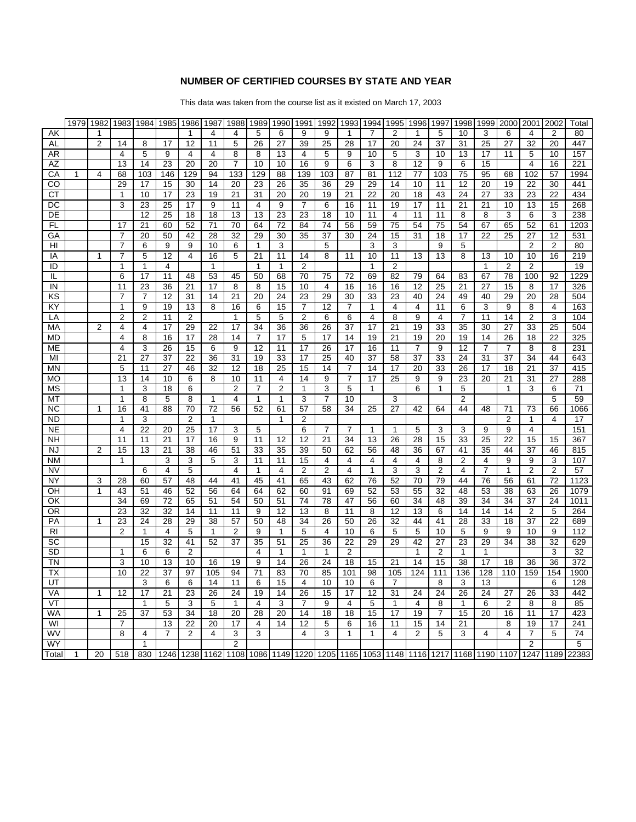#### **NUMBER OF CERTIFIED COURSES BY STATE AND YEAR**

This data was taken from the course list as it existed on March 17, 2003

|           | 1979        | 1982 |              | 1983 1984         | 1985                 | 1986            | 1987 | 1988         | 1989 | 1990 | 1991           | 1992           | 1993 | 1994 | 1995           | 1996           | 1997 | 1998           | 1999           | 2000 | 2001                | 2002 | Total                                                                                               |
|-----------|-------------|------|--------------|-------------------|----------------------|-----------------|------|--------------|------|------|----------------|----------------|------|------|----------------|----------------|------|----------------|----------------|------|---------------------|------|-----------------------------------------------------------------------------------------------------|
| AK        |             |      |              |                   |                      | 1               | 4    | 4            | 5    | 6    | 9              | 9              | 1    | 7    | 2              | 1              | 5    | 10             | 3              | 6    | 4                   | 2    | 80                                                                                                  |
| AL        |             | 2    | 14           | 8                 | 17                   | 12              | 11   | 5            | 26   | 27   | 39             | 25             | 28   | 17   | 20             | 24             | 37   | 31             | 25             | 27   | 32                  | 20   | 447                                                                                                 |
| AR        |             |      | 4            | 5                 | 9                    | 4               | 4    | 8            | 8    | 13   | 4              | 5              | 9    | 10   | 5              | 3              | 10   | 13             | 17             | 11   | 5                   | 10   | 157                                                                                                 |
| AZ        |             |      | 13           | 14                | 23                   | 20              | 20   | 7            | 10   | 10   | 16             | 9              | 6    | 3    | 8              | 12             | 9    | 6              | 15             |      | 4                   | 16   | 221                                                                                                 |
| СA        | 1           | 4    | 68           | 103               | 146                  | 129             | 94   | 133          | 129  | 88   | 139            | 103            | 87   | 81   | 112            | 77             | 103  | 75             | 95             | 68   | 102                 | 57   | 1994                                                                                                |
| CO        |             |      | 29           | 17                | 15                   | 30              | 14   | 20           | 23   | 26   | 35             | 36             | 29   | 29   | 14             | 10             | 11   | 12             | 20             | 19   | 22                  | 30   | 441                                                                                                 |
| СT        |             |      | 1            | 10                | 17                   | 23              | 19   | 21           | 31   | 20   | 20             | 19             | 21   | 22   | 20             | 18             | 43   | 24             | 27             | 33   | 23                  | 22   | 434                                                                                                 |
| DC        |             |      | 3            | 23                | 25                   | 17              | 9    | 11           | 4    | 9    | $\overline{7}$ | 6              | 16   | 11   | 19             | 17             | 11   | 21             | 21             | 10   | 13                  | 15   | 268                                                                                                 |
| DE        |             |      |              | 12                | 25                   | 18              | 18   | 13           | 13   | 23   | 23             | 18             | 10   | 11   | 4              | 11             | 11   | 8              | 8              | 3    | 6                   | 3    | 238                                                                                                 |
| FL        |             |      | 17           | 21                | 60                   | 52              | 71   | 70           | 64   | 72   | 84             | 74             | 56   | 59   | 75             | 54             | 75   | 54             | 67             | 65   | 52                  | 61   | 1203                                                                                                |
| GА        |             |      | 7            | 20                | 50                   | 42              | 28   | 32           | 29   | 30   | 35             | 37             | 30   | 24   | 15             | 31             | 18   | 17             | 22             | 25   | 27                  | 12   | 531                                                                                                 |
| HI        |             |      | 7            | 6                 | 9                    | 9               | 10   | 6            | 1    | 3    |                | 5              |      | 3    | 3              |                | 9    | 5              |                |      | $\overline{2}$      | 2    | 80                                                                                                  |
| IA        |             | 1    | 7            | 5                 | 12                   | 4               | 16   | 5            | 21   | 11   | 14             | 8              | 11   | 10   | 11             | 13             | 13   | 8              | 13             | 10   | 10                  | 16   | 219                                                                                                 |
| ID        |             |      | 1            | 1                 | 4                    |                 | 1    |              | 1    | 1    | $\overline{2}$ |                |      | 1    | $\overline{2}$ |                |      |                | 1              | 2    | 2                   |      | 19                                                                                                  |
| IL        |             |      | 6            | 17                | 11                   | 48              | 53   | 45           | 50   | 68   | 70             | 75             | 72   | 69   | 82             | 79             | 64   | 83             | 67             | 78   | 100                 | 92   | 1229                                                                                                |
| IN        |             |      | 11           | 23                | 36                   | 21              | 17   | 8            | 8    | 15   | 10             | 4              | 16   | 16   | 16             | 12             | 25   | 21             | 27             | 15   | 8                   | 17   | 326                                                                                                 |
| ΚS        |             |      | 7            | 7                 | 12                   | 31              | 14   | 21           | 20   | 24   | 23             | 29             | 30   | 33   | 23             | 40             | 24   | 49             | 40             | 29   | 20                  | 28   | 504                                                                                                 |
| KY        |             |      | 1            | 9                 | 19                   | 13              | 8    | 16           | 6    | 15   | 7              | 12             | 7    | 1    | 4              | 4              | 11   | 6              | 3              | 9    | 8                   | 4    | 163                                                                                                 |
| LA        |             |      | 2            | 2                 | 11                   | $\overline{2}$  |      | 1            | 5    | 5    | $\overline{2}$ | 6              | 6    | 4    | 8              | 9              | 4    | $\overline{7}$ | 11             | 14   | 2                   | 3    | 104                                                                                                 |
| МA        |             | 2    | 4            | 4                 | 17                   | 29              | 22   | 17           | 34   | 36   | 36             | 26             | 37   | 17   | 21             | 19             | 33   | 35             | 30             | 27   | 33                  | 25   | 504                                                                                                 |
| MD        |             |      | 4            | 8                 | 16                   | 17              | 28   | 14           | 7    | 17   | 5              | 17             | 14   | 19   | 21             | 19             | 20   | 19             | 14             | 26   | 18                  | 22   | 325                                                                                                 |
| ME        |             |      | 4            | 3                 | 26                   | 15              | 6    | 9            | 12   | 11   | 17             | 26             | 17   | 16   | 11             | $\overline{7}$ | 9    | 12             | $\overline{7}$ | 7    | 8                   | 8    | 231                                                                                                 |
| MI        |             |      | 21           | 27                | 37                   | 22              | 36   | 31           | 19   | 33   | 17             | 25             | 40   | 37   | 58             | 37             | 33   | 24             | 31             | 37   | 34                  | 44   | 643                                                                                                 |
| ΜN        |             |      | 5            | 11                | 27                   | 46              | 32   | 12           | 18   | 25   | 15             | 14             | 7    | 14   | 17             | 20             | 33   | 26             | 17             | 18   | 21                  | 37   | 415                                                                                                 |
| MО        |             |      | 13           | 14                | 10                   | 6               | 8    | 10           | 11   | 4    | 14             | 9              | 7    | 17   | 25             | 9              | 9    | 23             | 20             | 21   | 31                  | 27   | 288                                                                                                 |
| МS        |             |      | 1            | 3                 | 18                   | 6               |      | 2            | 7    | 2    | -1             | 3              | 5    | 1    |                | 6              | 1    | 5              |                | 1    | 3                   | 6    | 71                                                                                                  |
| МT        |             |      | 1            | 8                 | 5                    | 8               | 1    | 4            | 1    | 1    | 3              | $\overline{7}$ | 10   |      | 3              |                |      | $\overline{2}$ |                |      |                     | 5    | 59                                                                                                  |
| <b>NC</b> |             | 1    | 16           | 41                | 88                   | 70              | 72   | 56           | 52   | 61   | 57             | 58             | 34   | 25   | 27             | 42             | 64   | 44             | 48             | 71   | 73                  | 66   | 1066                                                                                                |
| ND        |             |      | 1            | 3                 |                      | 2               | 1    |              |      | 1    | 2              |                |      |      |                |                |      |                |                | 2    | 1                   | 4    | 17                                                                                                  |
| <b>NE</b> |             |      | 4            | 22                | 20                   | 25              | 17   | 3            | 5    |      | 6              | 7              | 7    | 1    | 1              | 5              | 3    | 3              | 9              | 9    | 4                   |      | 151                                                                                                 |
| NΗ        |             |      | 11           | 11                | 21                   | 17              | 16   | 9            | 11   | 12   | 12             | 21             | 34   | 13   | 26             | 28             | 15   | 33             | 25             | 22   | 15                  | 15   | 367                                                                                                 |
| NJ        |             | 2    | 15           | 13                | 21                   | 38              | 46   | 51           | 33   | 35   | 39             | 50             | 62   | 56   | 48             | 36             | 67   | 41             | 35             | 44   | 37                  | 46   | 815                                                                                                 |
| <b>NM</b> |             |      | $\mathbf{1}$ |                   | 3                    | 3               | 5    | 3            | 11   | 11   | 15             | 4              | 4    | 4    | 4              | 4              | 8    | 2              | 4              | 9    | 9                   | 3    | 107                                                                                                 |
| <b>NV</b> |             |      |              | 6                 | 4                    | 5               |      | 4            | 1    | 4    | 2              | $\overline{2}$ | 4    | 1    | 3              | 3              | 2    | 4              | 7              | 1    | $\overline{2}$      | 2    | 57                                                                                                  |
| NY        |             | 3    | 28           | 60                | 57                   | 48              | 44   | 41           | 45   | 41   | 65             | 43             | 62   | 76   | 52             | 70             | 79   | 44             | 76             | 56   | 61                  | 72   | 1123                                                                                                |
| OН        |             | 1    | 43           | 51                | 46                   | 52              | 56   | 64           | 64   | 62   | 60             | 91             | 69   | 52   | 53             | 55             | 32   | 48             | 53             | 38   | 63                  | 26   | 1079                                                                                                |
| OK        |             |      | 34           | 69                | 72                   | 65              | 51   | 54           | 50   | 51   | 74             | 78             | 47   | 56   | 60             | 34             | 48   | 39             | 34             | 34   | 37                  | 24   | 1011                                                                                                |
| OR        |             |      | 23           | 32                | 32                   | 14              | 11   | 11           | 9    | 12   | 13             | 8              | 11   | 8    | 12             | 13             | 6    | 14             | 14             | 14   | 2                   | 5    | 264                                                                                                 |
| РA        |             | 1    | 23           | 24                | 28                   | 29              | 38   | 57           | 50   | 48   | 34             | 26             | 50   | 26   | 32             | 44             | 41   | 28             | 33             | 18   | 37                  | 22   | 689                                                                                                 |
| <b>RI</b> |             |      | 2            | $\mathbf{1}$      | 4                    | 5               | 1    | 2            | 9    | 1    | 5              | 4              | 10   | 6    | 5              | 5              | 10   | 5              | 9              | 9    | 10                  | 9    | 112                                                                                                 |
| SC        |             |      |              | 15                | 32                   | 41              | 52   | 37           | 35   | 51   | 25             | 36             | 22   | 29   | 29             | 42             | 27   | 23             | 29             | 34   | 38                  | 32   | 629                                                                                                 |
| SD        |             |      | 1            | 6                 | 6                    | 2               |      |              | 4    | 1    | 1              | $\mathbf{1}$   | 2    |      |                | 1              | 2    | 1              | 1              |      |                     | 3    | 32                                                                                                  |
| TN        |             |      | 3            | 10                | 13                   | 10              | 16   | 19           | 9    | 14   | 26             | 24             | 18   | 15   | 21             | 14             | 15   | 38             | 17             | 18   | 36                  | 36   | 372                                                                                                 |
| ΤХ        |             |      | 10           | 22                | 37                   | 97              | 105  | 94           | 71   | 83   | 70             | 85             | 101  | 98   | 105            | 124            | 111  | 136            | 128            | 110  | 159                 | 154  | 1900                                                                                                |
| UT        |             |      |              | 3                 | 6                    | 6               | 14   | 11           | 6    | 15   | 4              | 10             | 10   | 6    | 7              |                | 8    | 3              | 13             |      |                     | 6    | 128                                                                                                 |
| VA        |             | 1    | 12           | 17                | 21                   | $\overline{23}$ | 26   | 24           | 19   | 14   | 26             | 15             | 17   | 12   | 31             | 24             | 24   | 26             | 24             | 27   | 26                  | 33   | 442                                                                                                 |
| VT        |             |      |              | $\mathbf{1}$      | 5                    | 3               | 5    | $\mathbf{1}$ | 4    | 3    | $\overline{7}$ | $\overline{9}$ | 4    | 5    | $\mathbf{1}$   | 4              | 8    | 1              | 6              | 2    | 8                   | 8    | 85                                                                                                  |
| WA        |             | 1    | 25           | 37                | 53                   | 34              | 18   | 20           | 28   | 20   | 14             | 18             | 18   | 15   | 17             | 19             | 7    | 15             | 20             | 16   | 11                  | 17   | 423                                                                                                 |
| WI<br>WV  |             |      | 7            |                   | 13<br>$\overline{7}$ | 22              | 20   | 17           | 4    | 14   | 12             | 5              | 6    | 16   | 11             | 15             | 14   | 21             |                | 8    | 19                  | 17   | 241                                                                                                 |
| <b>WY</b> |             |      | 8            | 4<br>$\mathbf{1}$ |                      | 2               | 4    | 3<br>2       | 3    |      | 4              | 3              | 1    | 1    | 4              | 2              | 5    | 3              | 4              | 4    | $\overline{7}$<br>2 | 5    | 74<br>5                                                                                             |
| Total     | $\mathbf 1$ | 20   | 518          |                   |                      |                 |      |              |      |      |                |                |      |      |                |                |      |                |                |      |                     |      | 830 1246 1238 1162 1108 1086 1149 1220 1205 1165 1053 1148 1116 1217 1168 1190 1107 1247 1189 22383 |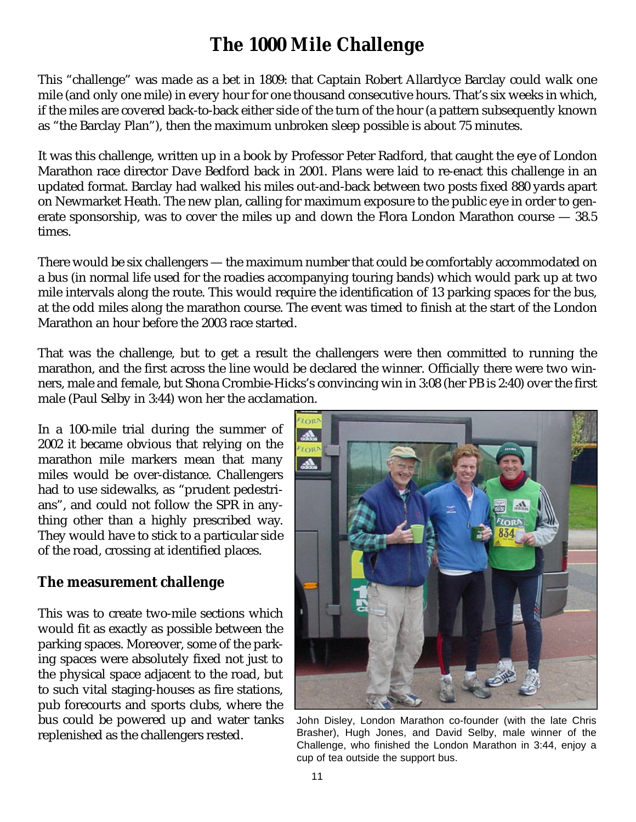## **The 1000 Mile Challenge**

This "challenge" was made as a bet in 1809: that Captain Robert Allardyce Barclay could walk one mile (and only one mile) in every hour for one thousand consecutive hours. That's six weeks in which, if the miles are covered back-to-back either side of the turn of the hour (a pattern subsequently known as "the Barclay Plan"), then the maximum unbroken sleep possible is about 75 minutes.

It was this challenge, written up in a book by Professor Peter Radford, that caught the eye of London Marathon race director Dave Bedford back in 2001. Plans were laid to re-enact this challenge in an updated format. Barclay had walked his miles out-and-back between two posts fixed 880 yards apart on Newmarket Heath. The new plan, calling for maximum exposure to the public eye in order to generate sponsorship, was to cover the miles up and down the Flora London Marathon course — 38.5 times.

There would be six challengers — the maximum number that could be comfortably accommodated on a bus (in normal life used for the roadies accompanying touring bands) which would park up at two mile intervals along the route. This would require the identification of 13 parking spaces for the bus, at the odd miles along the marathon course. The event was timed to finish at the start of the London Marathon an hour before the 2003 race started.

That was the challenge, but to get a result the challengers were then committed to running the marathon, and the first across the line would be declared the winner. Officially there were two winners, male and female, but Shona Crombie-Hicks's convincing win in 3:08 (her PB is 2:40) over the first male (Paul Selby in 3:44) won her the acclamation.

In a 100-mile trial during the summer of 2002 it became obvious that relying on the marathon mile markers mean that many miles would be over-distance. Challengers had to use sidewalks, as "prudent pedestrians", and could not follow the SPR in anything other than a highly prescribed way. They would have to stick to a particular side of the road, crossing at identified places.

## **The measurement challenge**

This was to create two-mile sections which would fit as exactly as possible between the parking spaces. Moreover, some of the parking spaces were absolutely fixed not just to the physical space adjacent to the road, but to such vital staging-houses as fire stations, pub forecourts and sports clubs, where the bus could be powered up and water tanks replenished as the challengers rested.



John Disley, London Marathon co-founder (with the late Chris Brasher), Hugh Jones, and David Selby, male winner of the Challenge, who finished the London Marathon in 3:44, enjoy a cup of tea outside the support bus.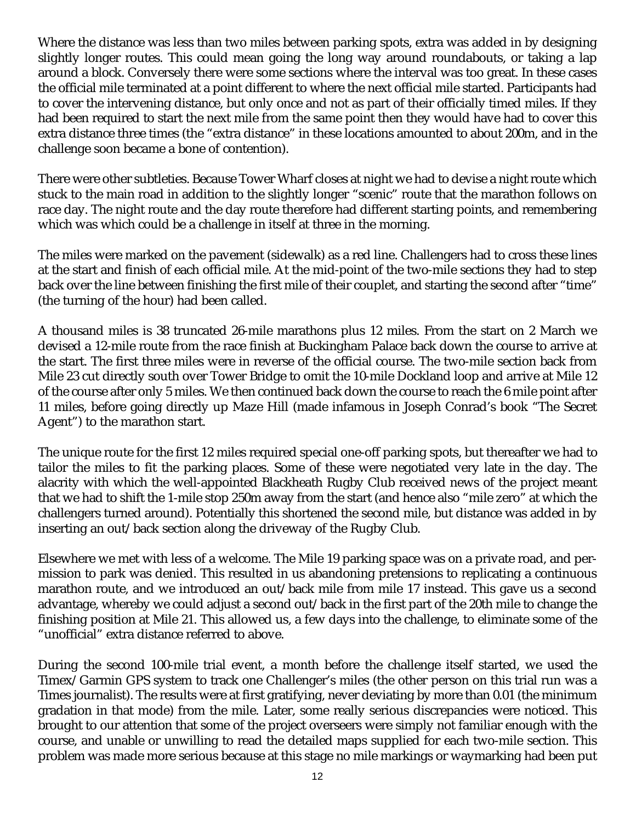Where the distance was less than two miles between parking spots, extra was added in by designing slightly longer routes. This could mean going the long way around roundabouts, or taking a lap around a block. Conversely there were some sections where the interval was too great. In these cases the official mile terminated at a point different to where the next official mile started. Participants had to cover the intervening distance, but only once and not as part of their officially timed miles. If they had been required to start the next mile from the same point then they would have had to cover this extra distance three times (the "extra distance" in these locations amounted to about 200m, and in the challenge soon became a bone of contention).

There were other subtleties. Because Tower Wharf closes at night we had to devise a night route which stuck to the main road in addition to the slightly longer "scenic" route that the marathon follows on race day. The night route and the day route therefore had different starting points, and remembering which was which could be a challenge in itself at three in the morning.

The miles were marked on the pavement (sidewalk) as a red line. Challengers had to cross these lines at the start and finish of each official mile. At the mid-point of the two-mile sections they had to step back over the line between finishing the first mile of their couplet, and starting the second after "time" (the turning of the hour) had been called.

A thousand miles is 38 truncated 26-mile marathons plus 12 miles. From the start on 2 March we devised a 12-mile route from the race finish at Buckingham Palace back down the course to arrive at the start. The first three miles were in reverse of the official course. The two-mile section back from Mile 23 cut directly south over Tower Bridge to omit the 10-mile Dockland loop and arrive at Mile 12 of the course after only 5 miles. We then continued back down the course to reach the 6 mile point after 11 miles, before going directly up Maze Hill (made infamous in Joseph Conrad's book "The Secret Agent") to the marathon start.

The unique route for the first 12 miles required special one-off parking spots, but thereafter we had to tailor the miles to fit the parking places. Some of these were negotiated very late in the day. The alacrity with which the well-appointed Blackheath Rugby Club received news of the project meant that we had to shift the 1-mile stop 250m away from the start (and hence also "mile zero" at which the challengers turned around). Potentially this shortened the second mile, but distance was added in by inserting an out/back section along the driveway of the Rugby Club.

Elsewhere we met with less of a welcome. The Mile 19 parking space was on a private road, and permission to park was denied. This resulted in us abandoning pretensions to replicating a continuous marathon route, and we introduced an out/back mile from mile 17 instead. This gave us a second advantage, whereby we could adjust a second out/back in the first part of the 20th mile to change the finishing position at Mile 21. This allowed us, a few days into the challenge, to eliminate some of the "unofficial" extra distance referred to above.

During the second 100-mile trial event, a month before the challenge itself started, we used the Timex/Garmin GPS system to track one Challenger's miles (the other person on this trial run was a Times journalist). The results were at first gratifying, never deviating by more than 0.01 (the minimum gradation in that mode) from the mile. Later, some really serious discrepancies were noticed. This brought to our attention that some of the project overseers were simply not familiar enough with the course, and unable or unwilling to read the detailed maps supplied for each two-mile section. This problem was made more serious because at this stage no mile markings or waymarking had been put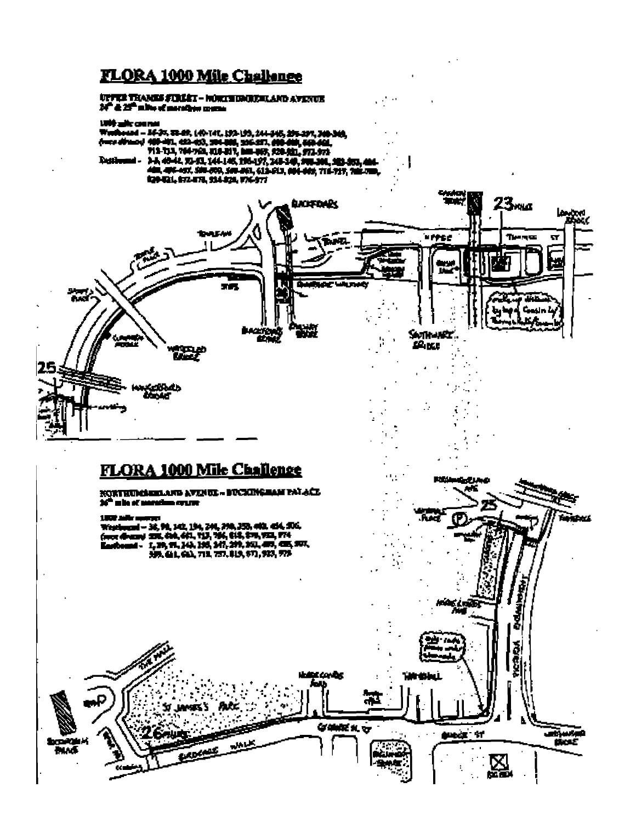## FLORA 1000 Mile Challenge

#### UPPER THANKS FINLET - HORITHOUR RAIN AVENUE M<sup>e</sup> & 25<sup>th</sup> miller of managements.



 $\mathcal{O}(\mathcal{O})$ 

محمما

**CT** 

H.

Terro

## **FLORA 1000 Mile Challenge**

### **HLL** EDA TA MARINENE - EURIVA GUARDADUNIADU  $\mathcal{L}$ 36" who of paradium cypres 1900 mile more فتحلك Westernal - 36, 98, 142, 194, 294, 293, 293, 443, 454, 556,<br>(mor diversy 201, 494, 441, 113, 114, 814, 814, 914, 923, 974<br>Harthound - 1, 29, 91, 144, 135, 147, 237, 413, 923, 425, 927,<br>HARABAL, 693, 713, 727, 813, 973, 973  $\blacksquare$ **Maybs** -55 **LAMBERS GAMER** K. **SURGE 17** atiwa k tkoć ᆎ u. A 図 ¢.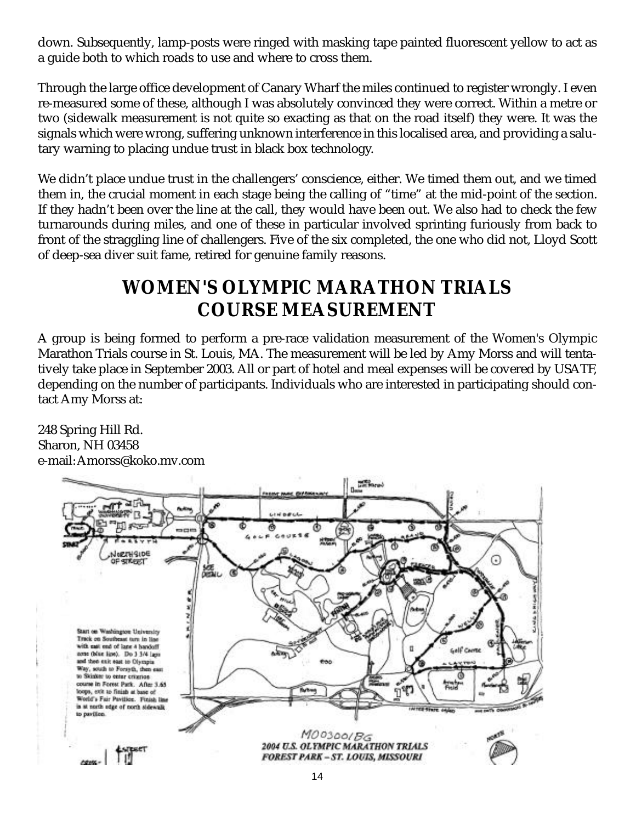down. Subsequently, lamp-posts were ringed with masking tape painted fluorescent yellow to act as a guide both to which roads to use and where to cross them.

Through the large office development of Canary Wharf the miles continued to register wrongly. I even re-measured some of these, although I was absolutely convinced they were correct. Within a metre or two (sidewalk measurement is not quite so exacting as that on the road itself) they were. It was the signals which were wrong, suffering unknown interference in this localised area, and providing a salutary warning to placing undue trust in black box technology.

We didn't place undue trust in the challengers' conscience, either. We timed them out, and we timed them in, the crucial moment in each stage being the calling of "time" at the mid-point of the section. If they hadn't been over the line at the call, they would have been out. We also had to check the few turnarounds during miles, and one of these in particular involved sprinting furiously from back to front of the straggling line of challengers. Five of the six completed, the one who did not, Lloyd Scott of deep-sea diver suit fame, retired for genuine family reasons.

## **WOMEN'S OLYMPIC MARATHON TRIALS COURSE MEASUREMENT**

A group is being formed to perform a pre-race validation measurement of the Women's Olympic Marathon Trials course in St. Louis, MA. The measurement will be led by Amy Morss and will tentatively take place in September 2003. All or part of hotel and meal expenses will be covered by USATF, depending on the number of participants. Individuals who are interested in participating should contact Amy Morss at:

248 Spring Hill Rd. Sharon, NH 03458 e-mail: Amorss@koko.mv.com

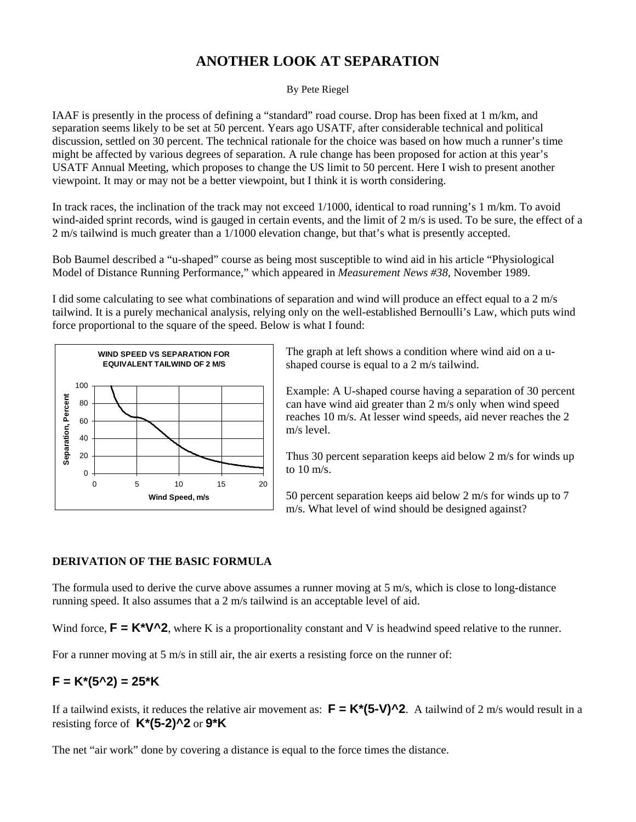## **ANOTHER LOOK AT SEPARATION**

By Pete Riegel

IAAF is presently in the process of defining a "standard" road course. Drop has been fixed at 1 m/km, and separation seems likely to be set at 50 percent. Years ago USATF, after considerable technical and political discussion, settled on 30 percent. The technical rationale for the choice was based on how much a runner's time might be affected by various degrees of separation. A rule change has been proposed for action at this year's USATF Annual Meeting, which proposes to change the US limit to 50 percent. Here I wish to present another viewpoint. It may or may not be a better viewpoint, but I think it is worth considering.

In track races, the inclination of the track may not exceed 1/1000, identical to road running's 1 m/km. To avoid wind-aided sprint records, wind is gauged in certain events, and the limit of 2 m/s is used. To be sure, the effect of a 2 m/s tailwind is much greater than a 1/1000 elevation change, but that's what is presently accepted.

Bob Baumel described a "u-shaped" course as being most susceptible to wind aid in his article "Physiological Model of Distance Running Performance," which appeared in *Measurement News #38*, November 1989.

I did some calculating to see what combinations of separation and wind will produce an effect equal to a 2 m/s tailwind. It is a purely mechanical analysis, relying only on the well-established Bernoulli's Law, which puts wind force proportional to the square of the speed. Below is what I found:



The graph at left shows a condition where wind aid on a ushaped course is equal to a 2 m/s tailwind.

Example: A U-shaped course having a separation of 30 percent can have wind aid greater than 2 m/s only when wind speed reaches 10 m/s. At lesser wind speeds, aid never reaches the 2 m/s level.

Thus 30 percent separation keeps aid below 2 m/s for winds up to 10 m/s.

50 percent separation keeps aid below 2 m/s for winds up to 7 m/s. What level of wind should be designed against?

#### **DERIVATION OF THE BASIC FORMULA**

The formula used to derive the curve above assumes a runner moving at 5 m/s, which is close to long-distance running speed. It also assumes that a 2 m/s tailwind is an acceptable level of aid.

Wind force,  $\mathbf{F} = \mathbf{K}^* \mathbf{V}^2 \mathbf{I}$ , where K is a proportionality constant and V is headwind speed relative to the runner.

For a runner moving at 5 m/s in still air, the air exerts a resisting force on the runner of:

#### **F = K\*(5^2) = 25\*K**

If a tailwind exists, it reduces the relative air movement as:  $\mathbf{F} = \mathbf{K}^*(5\text{-}V)$ <sup>^2</sup>. A tailwind of 2 m/s would result in a resisting force of **K\*(5-2)^2** or **9\*K**

The net "air work" done by covering a distance is equal to the force times the distance.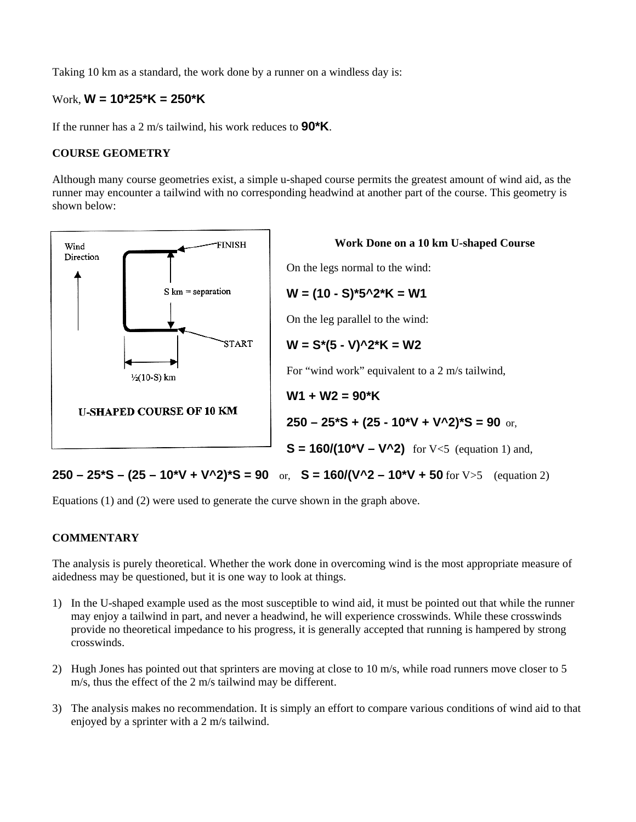Taking 10 km as a standard, the work done by a runner on a windless day is:

#### Work, **W = 10\*25\*K = 250\*K**

If the runner has a 2 m/s tailwind, his work reduces to **90\*K**.

#### **COURSE GEOMETRY**

Although many course geometries exist, a simple u-shaped course permits the greatest amount of wind aid, as the runner may encounter a tailwind with no corresponding headwind at another part of the course. This geometry is shown below:



#### **250 – 25\*S – (25 – 10\*V + V^2)\*S = 90** or, **S = 160/(V^2 – 10\*V + 50** for V>5 (equation 2)

Equations (1) and (2) were used to generate the curve shown in the graph above.

#### **COMMENTARY**

The analysis is purely theoretical. Whether the work done in overcoming wind is the most appropriate measure of aidedness may be questioned, but it is one way to look at things.

- 1) In the U-shaped example used as the most susceptible to wind aid, it must be pointed out that while the runner may enjoy a tailwind in part, and never a headwind, he will experience crosswinds. While these crosswinds provide no theoretical impedance to his progress, it is generally accepted that running is hampered by strong crosswinds.
- 2) Hugh Jones has pointed out that sprinters are moving at close to 10 m/s, while road runners move closer to 5 m/s, thus the effect of the 2 m/s tailwind may be different.
- 3) The analysis makes no recommendation. It is simply an effort to compare various conditions of wind aid to that enjoyed by a sprinter with a 2 m/s tailwind.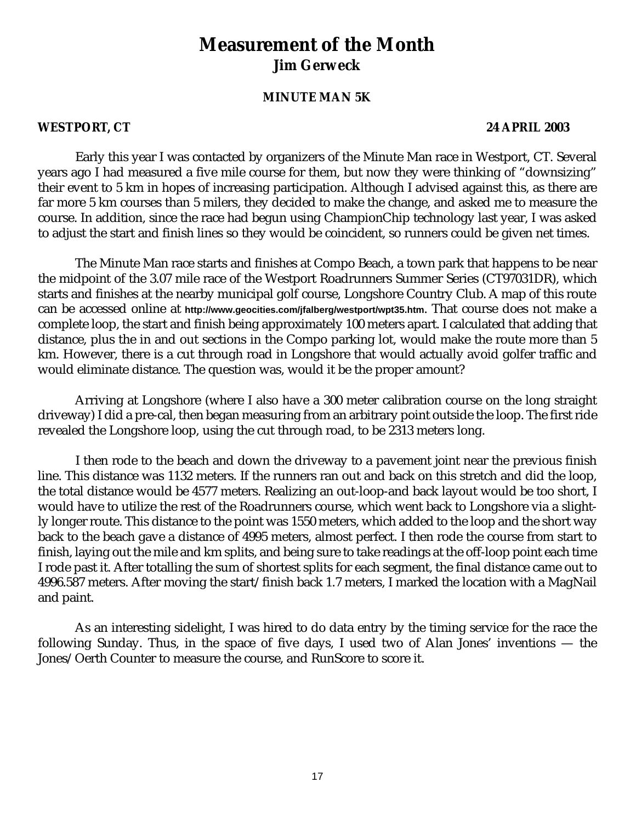## **Measurement of the Month Jim Gerweck**

#### **MINUTE MAN 5K**

#### **WESTPORT, CT 24 APRIL 2003**

Early this year I was contacted by organizers of the Minute Man race in Westport, CT. Several years ago I had measured a five mile course for them, but now they were thinking of "downsizing" their event to 5 km in hopes of increasing participation. Although I advised against this, as there are far more 5 km courses than 5 milers, they decided to make the change, and asked me to measure the course. In addition, since the race had begun using ChampionChip technology last year, I was asked to adjust the start and finish lines so they would be coincident, so runners could be given net times.

The Minute Man race starts and finishes at Compo Beach, a town park that happens to be near the midpoint of the 3.07 mile race of the Westport Roadrunners Summer Series (CT97031DR), which starts and finishes at the nearby municipal golf course, Longshore Country Club. A map of this route can be accessed online at **http://www.geocities.com/jfalberg/westport/wpt35.htm**. That course does not make a complete loop, the start and finish being approximately 100 meters apart. I calculated that adding that distance, plus the in and out sections in the Compo parking lot, would make the route more than 5 km. However, there is a cut through road in Longshore that would actually avoid golfer traffic and would eliminate distance. The question was, would it be the proper amount?

Arriving at Longshore (where I also have a 300 meter calibration course on the long straight driveway) I did a pre-cal, then began measuring from an arbitrary point outside the loop. The first ride revealed the Longshore loop, using the cut through road, to be 2313 meters long.

I then rode to the beach and down the driveway to a pavement joint near the previous finish line. This distance was 1132 meters. If the runners ran out and back on this stretch and did the loop, the total distance would be 4577 meters. Realizing an out-loop-and back layout would be too short, I would have to utilize the rest of the Roadrunners course, which went back to Longshore via a slightly longer route. This distance to the point was 1550 meters, which added to the loop and the short way back to the beach gave a distance of 4995 meters, almost perfect. I then rode the course from start to finish, laying out the mile and km splits, and being sure to take readings at the off-loop point each time I rode past it. After totalling the sum of shortest splits for each segment, the final distance came out to 4996.587 meters. After moving the start/finish back 1.7 meters, I marked the location with a MagNail and paint.

As an interesting sidelight, I was hired to do data entry by the timing service for the race the following Sunday. Thus, in the space of five days, I used two of Alan Jones' inventions — the Jones/Oerth Counter to measure the course, and RunScore to score it.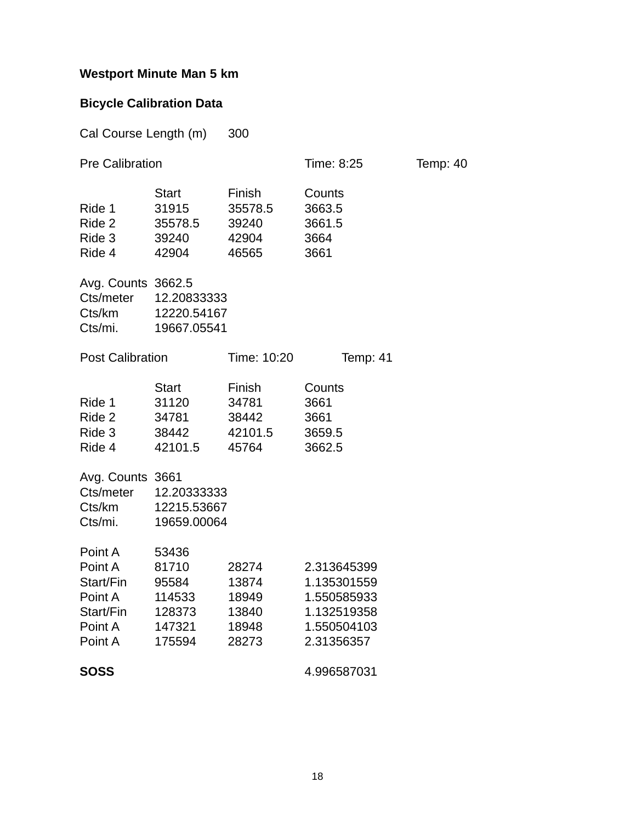## **Westport Minute Man 5 km**

## **Bicycle Calibration Data**

| Cal Course Length (m)                                                         |                                                                 | 300                                                |                                                                                       |                 |
|-------------------------------------------------------------------------------|-----------------------------------------------------------------|----------------------------------------------------|---------------------------------------------------------------------------------------|-----------------|
| <b>Pre Calibration</b>                                                        |                                                                 |                                                    | Time: 8:25                                                                            | <b>Temp: 40</b> |
| Ride 1<br>Ride 2<br>Ride 3<br>Ride 4                                          | <b>Start</b><br>31915<br>35578.5<br>39240<br>42904              | Finish<br>35578.5<br>39240<br>42904<br>46565       | Counts<br>3663.5<br>3661.5<br>3664<br>3661                                            |                 |
| Avg. Counts 3662.5<br>Cts/meter<br>Cts/km<br>Cts/mi.                          | 12.20833333<br>12220.54167<br>19667.05541                       |                                                    |                                                                                       |                 |
| <b>Post Calibration</b>                                                       |                                                                 | Time: 10:20                                        | Temp: 41                                                                              |                 |
| Ride 1<br>Ride 2<br>Ride 3<br>Ride 4                                          | <b>Start</b><br>31120<br>34781<br>38442<br>42101.5              | Finish<br>34781<br>38442<br>42101.5<br>45764       | Counts<br>3661<br>3661<br>3659.5<br>3662.5                                            |                 |
| Avg. Counts 3661<br>Cts/meter<br>Cts/km<br>Cts/mi.                            | 12.20333333<br>12215.53667<br>19659.00064                       |                                                    |                                                                                       |                 |
| Point A<br>Point A<br>Start/Fin<br>Point A<br>Start/Fin<br>Point A<br>Point A | 53436<br>81710<br>95584<br>114533<br>128373<br>147321<br>175594 | 28274<br>13874<br>18949<br>13840<br>18948<br>28273 | 2.313645399<br>1.135301559<br>1.550585933<br>1.132519358<br>1.550504103<br>2.31356357 |                 |
| <b>SOSS</b>                                                                   |                                                                 |                                                    | 4.996587031                                                                           |                 |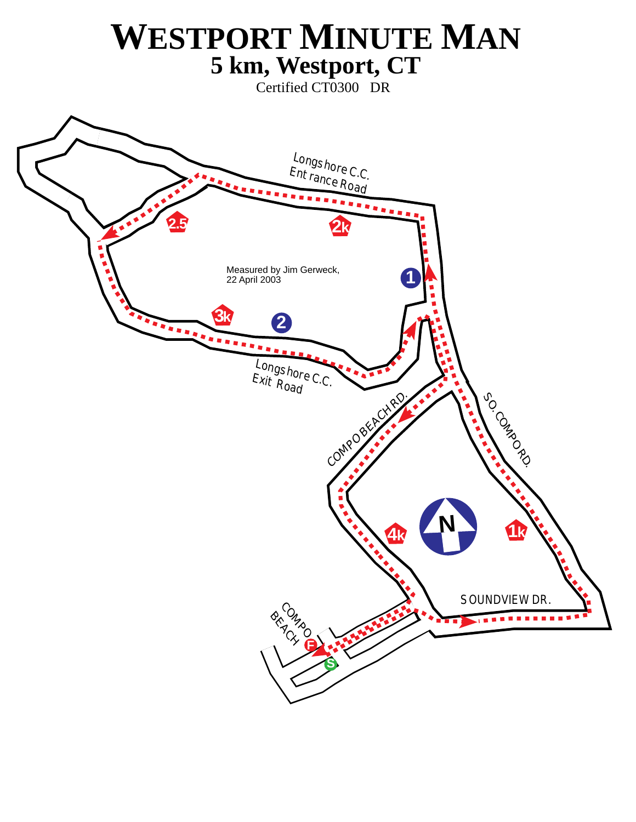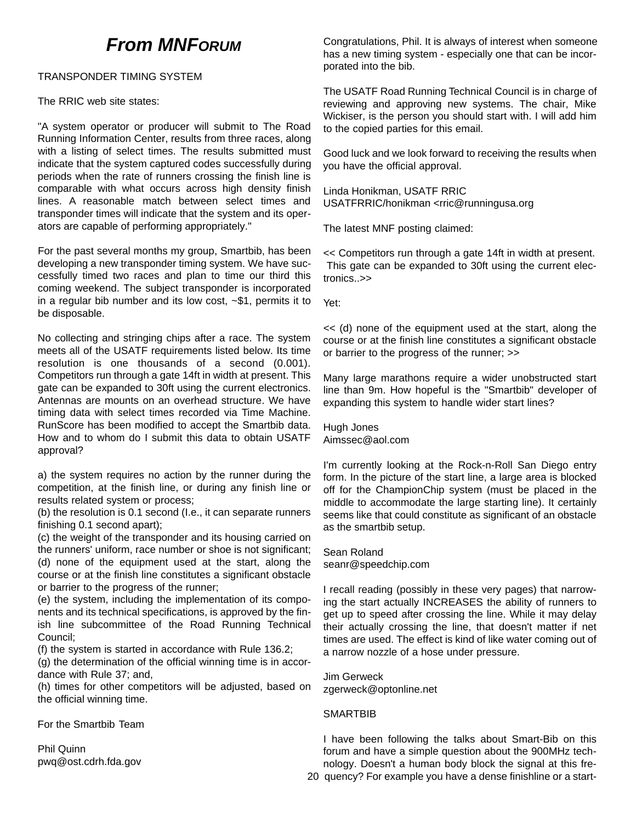## **From MNFORUM**

#### TRANSPONDER TIMING SYSTEM

The RRIC web site states:

"A system operator or producer will submit to The Road Running Information Center, results from three races, along with a listing of select times. The results submitted must indicate that the system captured codes successfully during periods when the rate of runners crossing the finish line is comparable with what occurs across high density finish lines. A reasonable match between select times and transponder times will indicate that the system and its operators are capable of performing appropriately."

For the past several months my group, Smartbib, has been developing a new transponder timing system. We have successfully timed two races and plan to time our third this coming weekend. The subject transponder is incorporated in a regular bib number and its low cost,  $\sim $1$ , permits it to be disposable.

No collecting and stringing chips after a race. The system meets all of the USATF requirements listed below. Its time resolution is one thousands of a second (0.001). Competitors run through a gate 14ft in width at present. This gate can be expanded to 30ft using the current electronics. Antennas are mounts on an overhead structure. We have timing data with select times recorded via Time Machine. RunScore has been modified to accept the Smartbib data. How and to whom do I submit this data to obtain USATF approval?

a) the system requires no action by the runner during the competition, at the finish line, or during any finish line or results related system or process;

(b) the resolution is 0.1 second (I.e., it can separate runners finishing 0.1 second apart);

(c) the weight of the transponder and its housing carried on the runners' uniform, race number or shoe is not significant; (d) none of the equipment used at the start, along the course or at the finish line constitutes a significant obstacle or barrier to the progress of the runner;

(e) the system, including the implementation of its components and its technical specifications, is approved by the finish line subcommittee of the Road Running Technical Council;

(f) the system is started in accordance with Rule 136.2;

(g) the determination of the official winning time is in accordance with Rule 37; and,

(h) times for other competitors will be adjusted, based on the official winning time.

For the Smartbib Team

Phil Quinn pwq@ost.cdrh.fda.gov

Congratulations, Phil. It is always of interest when someone has a new timing system - especially one that can be incorporated into the bib.

The USATF Road Running Technical Council is in charge of reviewing and approving new systems. The chair, Mike Wickiser, is the person you should start with. I will add him to the copied parties for this email.

Good luck and we look forward to receiving the results when you have the official approval.

Linda Honikman, USATF RRIC USATFRRIC/honikman <rric@runningusa.org

The latest MNF posting claimed:

<< Competitors run through a gate 14ft in width at present. This gate can be expanded to 30ft using the current electronics..>>

Yet:

<< (d) none of the equipment used at the start, along the course or at the finish line constitutes a significant obstacle or barrier to the progress of the runner; >>

Many large marathons require a wider unobstructed start line than 9m. How hopeful is the "Smartbib" developer of expanding this system to handle wider start lines?

Hugh Jones Aimssec@aol.com

I'm currently looking at the Rock-n-Roll San Diego entry form. In the picture of the start line, a large area is blocked off for the ChampionChip system (must be placed in the middle to accommodate the large starting line). It certainly seems like that could constitute as significant of an obstacle as the smartbib setup.

Sean Roland seanr@speedchip.com

I recall reading (possibly in these very pages) that narrowing the start actually INCREASES the ability of runners to get up to speed after crossing the line. While it may delay their actually crossing the line, that doesn't matter if net times are used. The effect is kind of like water coming out of a narrow nozzle of a hose under pressure.

Jim Gerweck zgerweck@optonline.net

#### **SMARTBIB**

I have been following the talks about Smart-Bib on this forum and have a simple question about the 900MHz technology. Doesn't a human body block the signal at this fre-20 quency? For example you have a dense finishline or a start-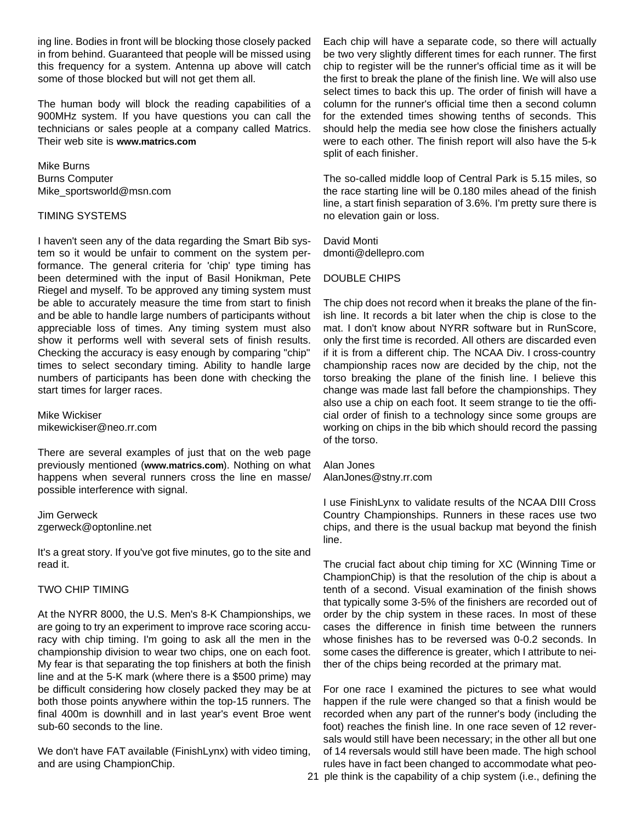ing line. Bodies in front will be blocking those closely packed in from behind. Guaranteed that people will be missed using this frequency for a system. Antenna up above will catch some of those blocked but will not get them all.

The human body will block the reading capabilities of a 900MHz system. If you have questions you can call the technicians or sales people at a company called Matrics. Their web site is **www.matrics.com**

Mike Burns Burns Computer Mike\_sportsworld@msn.com

#### TIMING SYSTEMS

I haven't seen any of the data regarding the Smart Bib system so it would be unfair to comment on the system performance. The general criteria for 'chip' type timing has been determined with the input of Basil Honikman, Pete Riegel and myself. To be approved any timing system must be able to accurately measure the time from start to finish and be able to handle large numbers of participants without appreciable loss of times. Any timing system must also show it performs well with several sets of finish results. Checking the accuracy is easy enough by comparing "chip" times to select secondary timing. Ability to handle large numbers of participants has been done with checking the start times for larger races.

Mike Wickiser mikewickiser@neo.rr.com

There are several examples of just that on the web page previously mentioned (**www.matrics.com**). Nothing on what happens when several runners cross the line en masse/ possible interference with signal.

Jim Gerweck zgerweck@optonline.net

It's a great story. If you've got five minutes, go to the site and read it.

#### TWO CHIP TIMING

At the NYRR 8000, the U.S. Men's 8-K Championships, we are going to try an experiment to improve race scoring accuracy with chip timing. I'm going to ask all the men in the championship division to wear two chips, one on each foot. My fear is that separating the top finishers at both the finish line and at the 5-K mark (where there is a \$500 prime) may be difficult considering how closely packed they may be at both those points anywhere within the top-15 runners. The final 400m is downhill and in last year's event Broe went sub-60 seconds to the line.

We don't have FAT available (FinishLynx) with video timing, and are using ChampionChip.

Each chip will have a separate code, so there will actually be two very slightly different times for each runner. The first chip to register will be the runner's official time as it will be the first to break the plane of the finish line. We will also use select times to back this up. The order of finish will have a column for the runner's official time then a second column for the extended times showing tenths of seconds. This should help the media see how close the finishers actually were to each other. The finish report will also have the 5-k split of each finisher.

The so-called middle loop of Central Park is 5.15 miles, so the race starting line will be 0.180 miles ahead of the finish line, a start finish separation of 3.6%. I'm pretty sure there is no elevation gain or loss.

David Monti dmonti@dellepro.com

#### DOUBLE CHIPS

The chip does not record when it breaks the plane of the finish line. It records a bit later when the chip is close to the mat. I don't know about NYRR software but in RunScore, only the first time is recorded. All others are discarded even if it is from a different chip. The NCAA Div. I cross-country championship races now are decided by the chip, not the torso breaking the plane of the finish line. I believe this change was made last fall before the championships. They also use a chip on each foot. It seem strange to tie the official order of finish to a technology since some groups are working on chips in the bib which should record the passing of the torso.

Alan Jones AlanJones@stny.rr.com

I use FinishLynx to validate results of the NCAA DIII Cross Country Championships. Runners in these races use two chips, and there is the usual backup mat beyond the finish line.

The crucial fact about chip timing for XC (Winning Time or ChampionChip) is that the resolution of the chip is about a tenth of a second. Visual examination of the finish shows that typically some 3-5% of the finishers are recorded out of order by the chip system in these races. In most of these cases the difference in finish time between the runners whose finishes has to be reversed was 0-0.2 seconds. In some cases the difference is greater, which I attribute to neither of the chips being recorded at the primary mat.

For one race I examined the pictures to see what would happen if the rule were changed so that a finish would be recorded when any part of the runner's body (including the foot) reaches the finish line. In one race seven of 12 reversals would still have been necessary; in the other all but one of 14 reversals would still have been made. The high school rules have in fact been changed to accommodate what peo-21 ple think is the capability of a chip system (i.e., defining the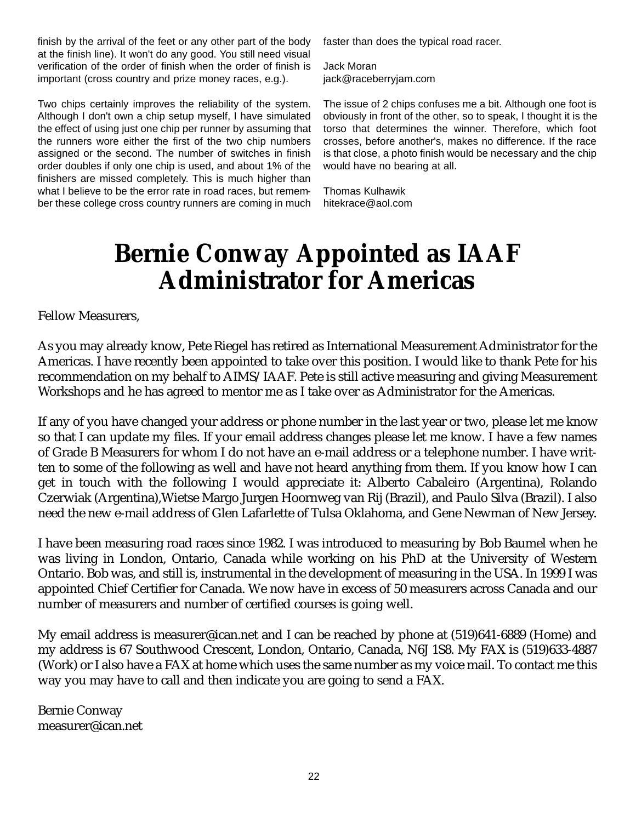finish by the arrival of the feet or any other part of the body at the finish line). It won't do any good. You still need visual verification of the order of finish when the order of finish is important (cross country and prize money races, e.g.).

Two chips certainly improves the reliability of the system. Although I don't own a chip setup myself, I have simulated the effect of using just one chip per runner by assuming that the runners wore either the first of the two chip numbers assigned or the second. The number of switches in finish order doubles if only one chip is used, and about 1% of the finishers are missed completely. This is much higher than what I believe to be the error rate in road races, but remember these college cross country runners are coming in much faster than does the typical road racer.

Jack Moran jack@raceberryjam.com

The issue of 2 chips confuses me a bit. Although one foot is obviously in front of the other, so to speak, I thought it is the torso that determines the winner. Therefore, which foot crosses, before another's, makes no difference. If the race is that close, a photo finish would be necessary and the chip would have no bearing at all.

Thomas Kulhawik hitekrace@aol.com

## **Bernie Conway Appointed as IAAF Administrator for Americas**

Fellow Measurers,

As you may already know, Pete Riegel has retired as International Measurement Administrator for the Americas. I have recently been appointed to take over this position. I would like to thank Pete for his recommendation on my behalf to AIMS/IAAF. Pete is still active measuring and giving Measurement Workshops and he has agreed to mentor me as I take over as Administrator for the Americas.

If any of you have changed your address or phone number in the last year or two, please let me know so that I can update my files. If your email address changes please let me know. I have a few names of Grade B Measurers for whom I do not have an e-mail address or a telephone number. I have written to some of the following as well and have not heard anything from them. If you know how I can get in touch with the following I would appreciate it: Alberto Cabaleiro (Argentina), Rolando Czerwiak (Argentina),Wietse Margo Jurgen Hoornweg van Rij (Brazil), and Paulo Silva (Brazil). I also need the new e-mail address of Glen Lafarlette of Tulsa Oklahoma, and Gene Newman of New Jersey.

I have been measuring road races since 1982. I was introduced to measuring by Bob Baumel when he was living in London, Ontario, Canada while working on his PhD at the University of Western Ontario. Bob was, and still is, instrumental in the development of measuring in the USA. In 1999 I was appointed Chief Certifier for Canada. We now have in excess of 50 measurers across Canada and our number of measurers and number of certified courses is going well.

My email address is measurer@ican.net and I can be reached by phone at (519)641-6889 (Home) and my address is 67 Southwood Crescent, London, Ontario, Canada, N6J 1S8. My FAX is (519)633-4887 (Work) or I also have a FAX at home which uses the same number as my voice mail. To contact me this way you may have to call and then indicate you are going to send a FAX.

Bernie Conway measurer@ican.net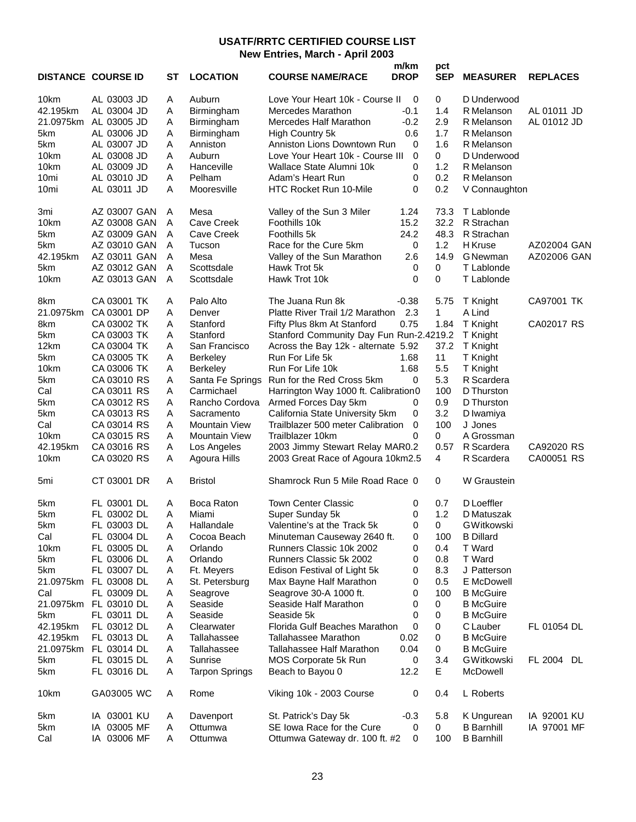#### **USATF/RRTC CERTIFIED COURSE LIST New Entries, March - April 2003**

|                  | <b>DISTANCE COURSE ID</b> | ST             | <b>LOCATION</b>       | <b>COURSE NAME/RACE</b>                    | m/km<br><b>DROP</b> | pct<br><b>SEP</b> | <b>MEASURER</b>   | <b>REPLACES</b>    |
|------------------|---------------------------|----------------|-----------------------|--------------------------------------------|---------------------|-------------------|-------------------|--------------------|
| 10km             | AL 03003 JD               | A              | Auburn                | Love Your Heart 10k - Course II            | 0                   | 0                 | D Underwood       |                    |
| 42.195km         | AL 03004 JD               | Α              | Birmingham            | Mercedes Marathon                          | $-0.1$              | 1.4               | R Melanson        | AL 01011 JD        |
|                  | 21.0975km AL 03005 JD     | Α              | Birmingham            | Mercedes Half Marathon                     | $-0.2$              | 2.9               | R Melanson        | AL 01012 JD        |
| 5km              | AL 03006 JD               | Α              | Birmingham            | High Country 5k                            | 0.6                 | 1.7               | R Melanson        |                    |
|                  |                           | Α              | Anniston              | Anniston Lions Downtown Run                | 0                   | 1.6               |                   |                    |
| 5km              | AL 03007 JD               |                |                       |                                            |                     |                   | R Melanson        |                    |
| 10km             | AL 03008 JD               | Α              | Auburn                | Love Your Heart 10k - Course III           | 0                   | $\mathbf 0$       | D Underwood       |                    |
| 10km             | AL 03009 JD               | Α              | Hanceville            | Wallace State Alumni 10k                   | 0                   | 1.2               | R Melanson        |                    |
| 10 <sub>mi</sub> | AL 03010 JD               | Α              | Pelham                | Adam's Heart Run                           | 0                   | 0.2               | R Melanson        |                    |
| 10 <sub>mi</sub> | AL 03011 JD               | Α              | Mooresville           | HTC Rocket Run 10-Mile                     | 0                   | 0.2               | V Connaughton     |                    |
| 3mi              | AZ 03007 GAN              | A              | Mesa                  | Valley of the Sun 3 Miler                  | 1.24                | 73.3              | T Lablonde        |                    |
| 10km             | AZ 03008 GAN              | $\overline{A}$ | <b>Cave Creek</b>     | Foothills 10k                              | 15.2                | 32.2              | R Strachan        |                    |
| 5km              | AZ 03009 GAN              | A              | <b>Cave Creek</b>     | Foothills 5k                               | 24.2                | 48.3              | R Strachan        |                    |
| 5km              | AZ 03010 GAN              | A              | Tucson                | Race for the Cure 5km                      | 0                   | 1.2               | H Kruse           | <b>AZ02004 GAN</b> |
| 42.195km         | AZ 03011 GAN              | A              | Mesa                  | Valley of the Sun Marathon                 | 2.6                 | 14.9              | <b>G</b> Newman   | AZ02006 GAN        |
| 5km              | AZ 03012 GAN              | A              | Scottsdale            | Hawk Trot 5k                               | 0                   | 0                 | T Lablonde        |                    |
| 10km             | AZ 03013 GAN              | A              | Scottsdale            | Hawk Trot 10k                              | 0                   | 0                 | T Lablonde        |                    |
| 8km              | CA 03001 TK               | A              | Palo Alto             | The Juana Run 8k                           | $-0.38$             | 5.75              | T Knight          | CA97001 TK         |
| 21.0975km        | CA 03001 DP               | A              | Denver                | Platte River Trail 1/2 Marathon            | 2.3                 | 1                 | A Lind            |                    |
| 8km              | CA 03002 TK               | Α              | Stanford              | Fifty Plus 8km At Stanford                 | 0.75                | 1.84              | T Knight          | CA02017 RS         |
| 5km              | CA 03003 TK               |                |                       | Stanford Community Day Fun Run-2.4219.2    |                     |                   |                   |                    |
|                  |                           | A              | Stanford              |                                            |                     |                   | T Knight          |                    |
| 12km             | CA 03004 TK               | Α              | San Francisco         | Across the Bay 12k - alternate 5.92        |                     | 37.2              | T Knight          |                    |
| 5km              | CA 03005 TK               | A              | Berkeley              | Run For Life 5k                            | 1.68                | 11                | T Knight          |                    |
| 10km             | CA 03006 TK               | A              | <b>Berkeley</b>       | Run For Life 10k                           | 1.68                | 5.5               | T Knight          |                    |
| 5km              | CA 03010 RS               | Α              |                       | Santa Fe Springs Run for the Red Cross 5km | 0                   | 5.3               | R Scardera        |                    |
| Cal              | CA 03011 RS               | Α              | Carmichael            | Harrington Way 1000 ft. Calibration0       |                     | 100               | D Thurston        |                    |
| 5km              | CA 03012 RS               | Α              | Rancho Cordova        | Armed Forces Day 5km                       | 0                   | 0.9               | D Thurston        |                    |
| 5km              | CA 03013 RS               | A              | Sacramento            | California State University 5km            | 0                   | 3.2               | D Iwamiya         |                    |
| Cal              | CA 03014 RS               | A              | <b>Mountain View</b>  | Trailblazer 500 meter Calibration          | 0                   | 100               | J Jones           |                    |
| 10km             | CA 03015 RS               | Α              | <b>Mountain View</b>  | Trailblazer 10km                           | 0                   | 0                 | A Grossman        |                    |
| 42.195km         | CA 03016 RS               | Α              | Los Angeles           | 2003 Jimmy Stewart Relay MAR0.2            |                     | 0.57              | R Scardera        | CA92020 RS         |
| 10km             | CA 03020 RS               | Α              | Agoura Hills          | 2003 Great Race of Agoura 10km2.5          |                     | 4                 | R Scardera        | CA00051 RS         |
|                  |                           |                |                       |                                            |                     |                   |                   |                    |
| 5mi              | CT 03001 DR               | Α              | <b>Bristol</b>        | Shamrock Run 5 Mile Road Race 0            |                     | 0                 | W Graustein       |                    |
| 5km              | FL 03001 DL               | A              | Boca Raton            | <b>Town Center Classic</b>                 | 0                   | 0.7               | D Loeffler        |                    |
| 5km              | FL 03002 DL               | Α              | Miami                 | Super Sunday 5k                            | 0                   | 1.2               | D Matuszak        |                    |
| 5km              | FL 03003 DL               | A              | Hallandale            | Valentine's at the Track 5k                | 0                   | 0                 | GWitkowski        |                    |
| Cal              | FL 03004 DL               | Α              | Cocoa Beach           | Minuteman Causeway 2640 ft.                | 0                   | 100               | <b>B</b> Dillard  |                    |
| 10km             | FL 03005 DL               | Α              | Orlando               | Runners Classic 10k 2002                   | 0                   | 0.4               | T Ward            |                    |
| 5km              | FL 03006 DL               | Α              | Orlando               | Runners Classic 5k 2002                    | 0                   | 0.8               | T Ward            |                    |
| 5km              | FL 03007 DL               | Α              | Ft. Meyers            | Edison Festival of Light 5k                | 0                   | 8.3               | J Patterson       |                    |
| 21.0975km        | FL 03008 DL               | A              | St. Petersburg        | Max Bayne Half Marathon                    | 0                   | 0.5               | E McDowell        |                    |
| Cal              | FL 03009 DL               | Α              |                       | Seagrove 30-A 1000 ft.                     | 0                   | 100               | <b>B</b> McGuire  |                    |
|                  |                           |                | Seagrove              |                                            |                     |                   |                   |                    |
| 21.0975km        | FL 03010 DL               | Α              | Seaside               | Seaside Half Marathon                      | 0                   | 0                 | <b>B</b> McGuire  |                    |
| 5km              | FL 03011 DL               | Α              | Seaside               | Seaside 5k                                 | 0                   | 0                 | <b>B</b> McGuire  |                    |
| 42.195km         | FL 03012 DL               | Α              | Clearwater            | Florida Gulf Beaches Marathon              | 0                   | 0                 | C Lauber          | FL 01054 DL        |
| 42.195km         | FL 03013 DL               | A              | Tallahassee           | Tallahassee Marathon                       | 0.02                | 0                 | <b>B</b> McGuire  |                    |
| 21.0975km        | FL 03014 DL               | Α              | Tallahassee           | Tallahassee Half Marathon                  | 0.04                | 0                 | <b>B</b> McGuire  |                    |
| 5km              | FL 03015 DL               | Α              | Sunrise               | MOS Corporate 5k Run                       | 0                   | 3.4               | GWitkowski        | FL 2004 DL         |
| 5km              | FL 03016 DL               | Α              | <b>Tarpon Springs</b> | Beach to Bayou 0                           | 12.2                | E                 | McDowell          |                    |
| 10km             | GA03005 WC                | A              | Rome                  | Viking 10k - 2003 Course                   | 0                   | 0.4               | L Roberts         |                    |
| 5km              | IA 03001 KU               | A              | Davenport             | St. Patrick's Day 5k                       | $-0.3$              | 5.8               | K Ungurean        | IA 92001 KU        |
| 5km              | IA 03005 MF               | Α              | Ottumwa               | SE Iowa Race for the Cure                  | 0                   | 0                 | <b>B</b> Barnhill | IA 97001 MF        |
| Cal              | IA 03006 MF               | Α              | Ottumwa               | Ottumwa Gateway dr. 100 ft. #2             | 0                   | 100               | <b>B</b> Barnhill |                    |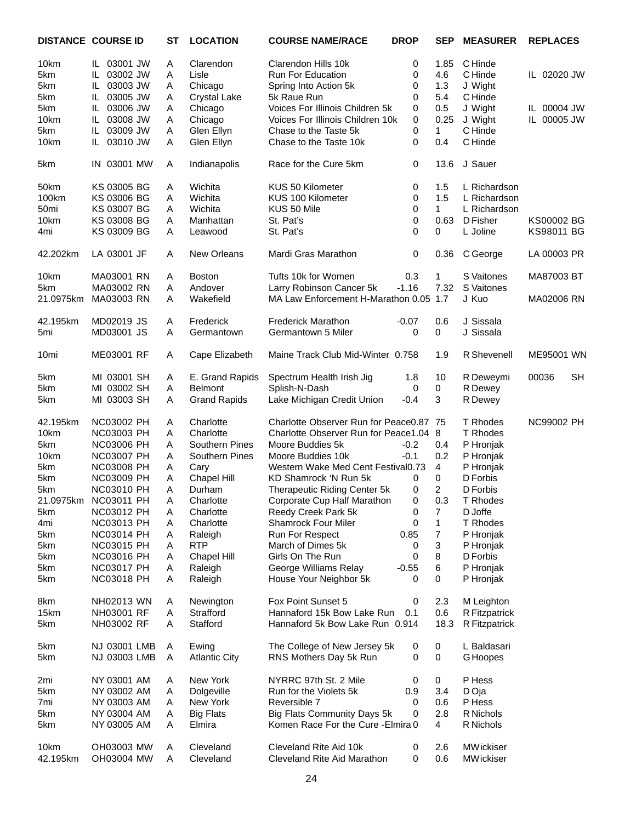|                  | <b>DISTANCE COURSE ID</b> | SТ | <b>LOCATION</b>      | <b>COURSE NAME/RACE</b>                 | <b>DROP</b> | SEP            | <b>MEASURER</b> | <b>REPLACES</b>    |
|------------------|---------------------------|----|----------------------|-----------------------------------------|-------------|----------------|-----------------|--------------------|
| 10km             | IL 03001 JW               | A  | Clarendon            | Clarendon Hills 10k                     | 0           | 1.85           | C Hinde         |                    |
| 5km              | IL 03002 JW               | Α  | Lisle                | Run For Education                       | 0           | 4.6            | C Hinde         | IL 02020 JW        |
| 5km              | IL 03003 JW               | Α  | Chicago              | Spring Into Action 5k                   | 0           | 1.3            | J Wight         |                    |
| 5km              | IL 03005 JW               | Α  | <b>Crystal Lake</b>  | 5k Raue Run                             | 0           | 5.4            | C Hinde         |                    |
| 5km              | IL 03006 JW               | Α  | Chicago              | Voices For Illinois Children 5k         | 0           | 0.5            | J Wight         | IL 00004 JW        |
|                  |                           |    |                      |                                         |             |                |                 |                    |
| 10km             | IL 03008 JW               | Α  | Chicago              | Voices For Illinois Children 10k        | 0           | 0.25           | J Wight         | IL 00005 JW        |
| 5km              | IL 03009 JW               | Α  | Glen Ellyn           | Chase to the Taste 5k                   | 0           | $\mathbf{1}$   | C Hinde         |                    |
| 10km             | IL 03010 JW               | Α  | Glen Ellyn           | Chase to the Taste 10k                  | $\mathbf 0$ | 0.4            | C Hinde         |                    |
| 5km              | IN 03001 MW               | Α  | Indianapolis         | Race for the Cure 5km                   | 0           | 13.6           | J Sauer         |                    |
| 50km             | KS 03005 BG               | Α  | Wichita              | KUS 50 Kilometer                        | 0           | 1.5            | L Richardson    |                    |
| 100km            | KS 03006 BG               | Α  | Wichita              | KUS 100 Kilometer                       | 0           | 1.5            | L Richardson    |                    |
| 50 <sub>mi</sub> | <b>KS 03007 BG</b>        | Α  | Wichita              | KUS 50 Mile                             | 0           | $\mathbf{1}$   | L Richardson    |                    |
| 10km             | KS 03008 BG               | Α  | Manhattan            | St. Pat's                               | 0           | 0.63           | D Fisher        | KS00002 BG         |
| 4mi              | KS 03009 BG               | Α  | Leawood              | St. Pat's                               | $\mathbf 0$ | 0              | L Joline        | KS98011 BG         |
|                  |                           |    |                      |                                         |             |                |                 |                    |
| 42.202km         | LA 03001 JF               | A  | <b>New Orleans</b>   | Mardi Gras Marathon                     | 0           | 0.36           | C George        | LA 00003 PR        |
| 10km             | MA03001 RN                | A  | <b>Boston</b>        | Tufts 10k for Women                     | 0.3         | 1              | S Vaitones      | MA87003 BT         |
| 5km              | MA03002 RN                | Α  | Andover              | Larry Robinson Cancer 5k                | $-1.16$     | 7.32           | S Vaitones      |                    |
| 21.0975km        | MA03003 RN                | Α  | Wakefield            | MA Law Enforcement H-Marathon 0.05 1.7  |             |                | J Kuo           | MA02006 RN         |
|                  |                           |    |                      |                                         |             |                |                 |                    |
| 42.195km         | MD02019 JS                | Α  | Frederick            | <b>Frederick Marathon</b>               | $-0.07$     | 0.6            | J Sissala       |                    |
| 5mi              | MD03001 JS                | Α  | Germantown           | Germantown 5 Miler                      | 0           | $\mathbf 0$    | J Sissala       |                    |
| 10 <sub>mi</sub> | ME03001 RF                | Α  | Cape Elizabeth       | Maine Track Club Mid-Winter 0.758       |             | 1.9            | R Shevenell     | ME95001 WN         |
| 5km              | MI 03001 SH               | Α  | E. Grand Rapids      | Spectrum Health Irish Jig               | 1.8         | 10             | R Deweymi       | <b>SH</b><br>00036 |
| 5km              | MI 03002 SH               | Α  | <b>Belmont</b>       | Splish-N-Dash                           | 0           | 0              | R Dewey         |                    |
| 5km              | MI 03003 SH               | Α  | <b>Grand Rapids</b>  | Lake Michigan Credit Union              | $-0.4$      | 3              | R Dewey         |                    |
| 42.195km         | <b>NC03002 PH</b>         | A  | Charlotte            | Charlotte Observer Run for Peace0.87 75 |             |                | T Rhodes        | <b>NC99002 PH</b>  |
| 10km             | NC03003 PH                | Α  | Charlotte            | Charlotte Observer Run for Peace1.04    |             | 8              | T Rhodes        |                    |
| 5km              | <b>NC03006 PH</b>         | Α  | Southern Pines       | Moore Buddies 5k                        | $-0.2$      | 0.4            | P Hronjak       |                    |
| 10km             | <b>NC03007 PH</b>         | Α  | Southern Pines       | Moore Buddies 10k                       | $-0.1$      | 0.2            | P Hronjak       |                    |
| 5km              | <b>NC03008 PH</b>         | Α  | Cary                 | Western Wake Med Cent Festival0.73      |             | $\overline{4}$ | P Hronjak       |                    |
|                  |                           |    |                      |                                         |             |                |                 |                    |
| 5km              | <b>NC03009 PH</b>         | A  | Chapel Hill          | KD Shamrock 'N Run 5k                   | 0           | 0              | D Forbis        |                    |
| 5km              | <b>NC03010 PH</b>         | Α  | Durham               | Therapeutic Riding Center 5k            | 0           | $\overline{2}$ | D Forbis        |                    |
|                  | 21.0975km NC03011 PH      | A  | Charlotte            | Corporate Cup Half Marathon             | 0           | 0.3            | T Rhodes        |                    |
| 5km              | NC03012 PH                | Α  | Charlotte            | Reedy Creek Park 5k                     | 0           | 7              | D Joffe         |                    |
| 4mi              | NC03013 PH                | A  | Charlotte            | <b>Shamrock Four Miler</b>              | 0           | $\mathbf{1}$   | T Rhodes        |                    |
| 5km              | <b>NC03014 PH</b>         | A  | Raleigh              | Run For Respect                         | 0.85        | 7              | P Hronjak       |                    |
| 5km              | NC03015 PH                | A  | <b>RTP</b>           | March of Dimes 5k                       | 0           | 3              | P Hronjak       |                    |
| 5km              | <b>NC03016 PH</b>         | Α  | Chapel Hill          | Girls On The Run                        | 0           | 8              | D Forbis        |                    |
| 5km              | <b>NC03017 PH</b>         | Α  | Raleigh              | George Williams Relay                   | $-0.55$     | $\,6$          | P Hronjak       |                    |
| 5km              | <b>NC03018 PH</b>         | A  | Raleigh              | House Your Neighbor 5k                  | 0           | 0              | P Hronjak       |                    |
|                  |                           |    |                      |                                         |             |                |                 |                    |
| 8km              | NH02013 WN                | Α  | Newington            | Fox Point Sunset 5                      | 0           | 2.3            | M Leighton      |                    |
| 15km             | NH03001 RF                | Α  | Strafford            | Hannaford 15k Bow Lake Run              | 0.1         | 0.6            | R Fitzpatrick   |                    |
| 5km              | NH03002 RF                | A  | Stafford             | Hannaford 5k Bow Lake Run 0.914         |             | 18.3           | R Fitzpatrick   |                    |
| 5km              | NJ 03001 LMB              | A  | Ewing                | The College of New Jersey 5k            | 0           | 0              | L Baldasari     |                    |
| 5km              | NJ 03003 LMB              | A  | <b>Atlantic City</b> | RNS Mothers Day 5k Run                  | 0           | $\mathbf 0$    | <b>G</b> Hoopes |                    |
|                  | NY 03001 AM               | Α  | New York             | NYRRC 97th St. 2 Mile                   | 0           | 0              | P Hess          |                    |
| 2mi              |                           |    |                      |                                         |             |                |                 |                    |
| 5km              | NY 03002 AM               | Α  | Dolgeville           | Run for the Violets 5k                  | 0.9         | 3.4            | D Oja           |                    |
| 7mi              | NY 03003 AM               | A  | New York             | Reversible 7                            | 0           | 0.6            | P Hess          |                    |
| 5km              | NY 03004 AM               | Α  | <b>Big Flats</b>     | Big Flats Community Days 5k             | 0           | 2.8            | R Nichols       |                    |
| 5km              | NY 03005 AM               | Α  | Elmira               | Komen Race For the Cure - Elmira 0      |             | 4              | R Nichols       |                    |
| 10km             | OH03003 MW                | Α  | Cleveland            | Cleveland Rite Aid 10k                  | 0           | 2.6            | MWickiser       |                    |
| 42.195km         | OH03004 MW                | Α  | Cleveland            | Cleveland Rite Aid Marathon             | 0           | 0.6            | MWickiser       |                    |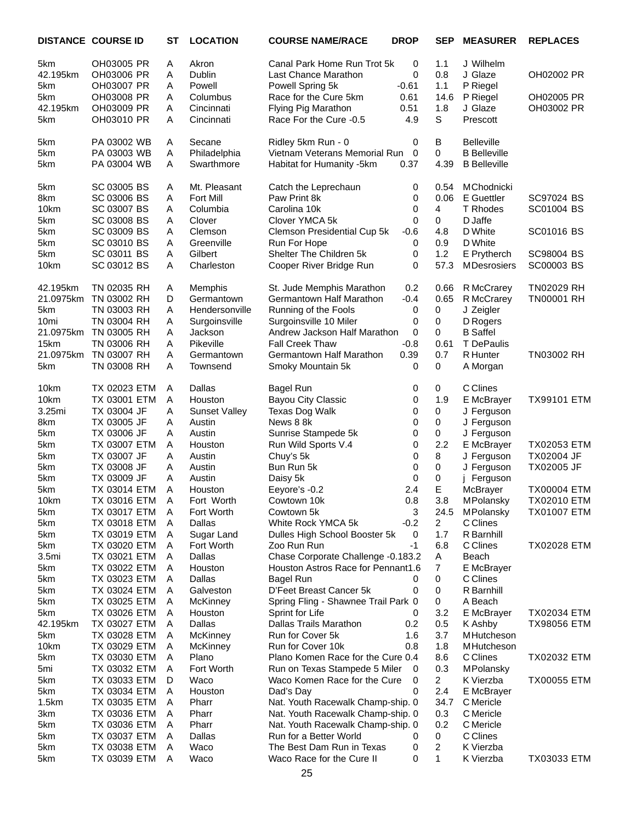|                   | <b>DISTANCE COURSE ID</b> | <b>ST</b>      | <b>LOCATION</b>      | <b>COURSE NAME/RACE</b>             | <b>DROP</b> | <b>SEP</b>     | <b>MEASURER</b>     | <b>REPLACES</b>    |
|-------------------|---------------------------|----------------|----------------------|-------------------------------------|-------------|----------------|---------------------|--------------------|
| 5km               | OH03005 PR                | Α              | Akron                | Canal Park Home Run Trot 5k         | 0           | 1.1            | J Wilhelm           |                    |
| 42.195km          | OH03006 PR                | Α              | Dublin               | Last Chance Marathon                | 0           | 0.8            | J Glaze             | OH02002 PR         |
| 5km               | OH03007 PR                | A              | Powell               | Powell Spring 5k                    | $-0.61$     | 1.1            | P Riegel            |                    |
| 5km               | OH03008 PR                | A              | Columbus             | Race for the Cure 5km               | 0.61        | 14.6           | P Riegel            | OH02005 PR         |
| 42.195km          | OH03009 PR                | Α              | Cincinnati           | Flying Pig Marathon                 | 0.51        | 1.8            | J Glaze             | OH03002 PR         |
| 5km               | OH03010 PR                | A              | Cincinnati           | Race For the Cure -0.5              | 4.9         | S              | Prescott            |                    |
| 5km               | PA 03002 WB               | A              | Secane               | Ridley 5km Run - 0                  | 0           | В              | <b>Belleville</b>   |                    |
| 5km               | PA 03003 WB               | A              | Philadelphia         | Vietnam Veterans Memorial Run       | $\mathbf 0$ | 0              | <b>B</b> Belleville |                    |
| 5km               | PA 03004 WB               | Α              | Swarthmore           | Habitat for Humanity -5km           | 0.37        | 4.39           | <b>B</b> Belleville |                    |
| 5km               | SC 03005 BS               | Α              | Mt. Pleasant         | Catch the Leprechaun                | 0           | 0.54           | MChodnicki          |                    |
| 8km               | SC 03006 BS               | Α              | <b>Fort Mill</b>     | Paw Print 8k                        | 0           | 0.06           | E Guettler          | SC97024 BS         |
| 10km              | SC 03007 BS               | Α              | Columbia             | Carolina 10k                        | 0           | 4              | T Rhodes            | SC01004 BS         |
| 5km               | SC 03008 BS               | Α              | Clover               | Clover YMCA 5k                      | 0           | 0              | D Jaffe             |                    |
| 5km               | SC 03009 BS               | A              | Clemson              | Clemson Presidential Cup 5k         | $-0.6$      | 4.8            | D White             | SC01016 BS         |
| 5km               | SC 03010 BS               | Α              | Greenville           | Run For Hope                        | 0           | 0.9            | D White             |                    |
| 5km               | SC 03011 BS               | Α              | Gilbert              | Shelter The Children 5k             | 0           | 1.2            | E Prytherch         | SC98004 BS         |
| 10km              | SC 03012 BS               | Α              | Charleston           | Cooper River Bridge Run             | 0           | 57.3           | <b>MDesrosiers</b>  | SC00003 BS         |
| 42.195km          | TN 02035 RH               | Α              | Memphis              | St. Jude Memphis Marathon           | 0.2         | 0.66           | R McCrarey          | <b>TN02029 RH</b>  |
| 21.0975km         | TN 03002 RH               | D              | Germantown           | Germantown Half Marathon            | $-0.4$      | 0.65           | R McCrarey          | <b>TN00001 RH</b>  |
| 5km               | TN 03003 RH               | Α              | Hendersonville       | Running of the Fools                | 0           | 0              | J Zeigler           |                    |
| 10mi              | TN 03004 RH               | A              | Surgoinsville        | Surgoinsville 10 Miler              | 0           | 0              | D Rogers            |                    |
| 21.0975km         | TN 03005 RH               | Α              | Jackson              | Andrew Jackson Half Marathon        | 0           | 0              | <b>B</b> Saffel     |                    |
| 15km              | TN 03006 RH               | Α              | Pikeville            | <b>Fall Creek Thaw</b>              | $-0.8$      | 0.61           | T DePaulis          |                    |
| 21.0975km         | TN 03007 RH               | Α              | Germantown           | Germantown Half Marathon            | 0.39        | 0.7            | R Hunter            | <b>TN03002 RH</b>  |
| 5km               | TN 03008 RH               | Α              | Townsend             | Smoky Mountain 5k                   | 0           | 0              | A Morgan            |                    |
| 10km              | TX 02023 ETM              | A              | Dallas               | <b>Bagel Run</b>                    | 0           | 0              | C Clines            |                    |
| 10km              | TX 03001 ETM              | Α              | Houston              | Bayou City Classic                  | 0           | 1.9            | E McBrayer          | <b>TX99101 ETM</b> |
| 3.25mi            | TX 03004 JF               | Α              | <b>Sunset Valley</b> | Texas Dog Walk                      | 0           | 0              | J Ferguson          |                    |
| 8km               | TX 03005 JF               | Α              | Austin               | News 8 8k                           | 0           | 0              | J Ferguson          |                    |
| 5km               | TX 03006 JF               | A              | Austin               | Sunrise Stampede 5k                 | 0           | 0              | J Ferguson          |                    |
| 5km               | TX 03007 ETM              | Α              | Houston              | Run Wild Sports V.4                 | 0           | 2.2            | E McBrayer          | <b>TX02053 ETM</b> |
| 5km               | TX 03007 JF               | Α              | Austin               | Chuy's 5k                           | 0           | 8              | J Ferguson          | TX02004 JF         |
| 5km               | TX 03008 JF               | Α              | Austin               | Bun Run 5k                          | 0           | 0              | J Ferguson          | <b>TX02005 JF</b>  |
| 5km               | TX 03009 JF               | A              | Austin               | Daisy 5k                            | 0           | 0              | Ferguson            |                    |
| 5km               | TX 03014 ETM              | Α              | Houston              | Eeyore's -0.2                       | 2.4         | Е              | McBrayer            | <b>TX00004 ETM</b> |
| 10km              | TX 03016 ETM              | $\overline{A}$ | Fort Worth           | Cowtown 10k                         | 0.8         | 3.8            | <b>MPolansky</b>    | <b>TX02010 ETM</b> |
| 5km               | TX 03017 ETM              | A              | Fort Worth           | Cowtown 5k                          | 3           | 24.5           | MPolansky           | <b>TX01007 ETM</b> |
| 5km               | TX 03018 ETM              | A              | Dallas               | White Rock YMCA 5k                  | $-0.2$      | $\overline{2}$ | C Clines            |                    |
| 5km               | TX 03019 ETM              | A              | Sugar Land           | Dulles High School Booster 5k       | 0           | 1.7            | R Barnhill          |                    |
| 5km               | TX 03020 ETM              | A              | Fort Worth           | Zoo Run Run                         | $-1$        | 6.8            | C Clines            | <b>TX02028 ETM</b> |
| 3.5 <sub>mi</sub> | TX 03021 ETM              | A              | Dallas               | Chase Corporate Challenge -0.183.2  |             | Α              | Beach               |                    |
| 5km               | TX 03022 ETM              | A              | Houston              | Houston Astros Race for Pennant1.6  |             | 7              | E McBrayer          |                    |
| 5km               | TX 03023 ETM              | A              | Dallas               | Bagel Run                           | 0           | 0              | C Clines            |                    |
| 5km               | TX 03024 ETM              | A              | Galveston            | D'Feet Breast Cancer 5k             | 0           | 0              | R Barnhill          |                    |
| 5km               | TX 03025 ETM              | A              | McKinney             | Spring Fling - Shawnee Trail Park 0 |             | 0              | A Beach             |                    |
| 5km               | TX 03026 ETM              | A              | Houston              | Sprint for Life                     | 0           | 3.2            | E McBrayer          | <b>TX02034 ETM</b> |
| 42.195km          | TX 03027 ETM              | A              | Dallas               | <b>Dallas Trails Marathon</b>       | 0.2         | 0.5            | K Ashby             | <b>TX98056 ETM</b> |
| 5km               | TX 03028 ETM              | A              | McKinney             | Run for Cover 5k                    | 1.6         | 3.7            | MHutcheson          |                    |
| 10km              | TX 03029 ETM              | A              | McKinney             | Run for Cover 10k                   | 0.8         | 1.8            | MHutcheson          |                    |
| 5km               | TX 03030 ETM              | A              | Plano                | Plano Komen Race for the Cure 0.4   |             | 8.6            | C Clines            | <b>TX02032 ETM</b> |
| 5mi               | TX 03032 ETM              | A              | Fort Worth           | Run on Texas Stampede 5 Miler       | 0           | 0.3            | <b>MPolansky</b>    |                    |
| 5km               | TX 03033 ETM              | D              | Waco                 | Waco Komen Race for the Cure        | 0           | $\overline{a}$ | K Vierzba           | <b>TX00055 ETM</b> |
| 5km               | TX 03034 ETM              | A              | Houston              | Dad's Day                           | 0           | 2.4            | E McBrayer          |                    |
| 1.5km             | TX 03035 ETM              | A              | Pharr                | Nat. Youth Racewalk Champ-ship. 0   |             | 34.7           | C Mericle           |                    |
| 3km               | TX 03036 ETM              | A              | Pharr                | Nat. Youth Racewalk Champ-ship. 0   |             | 0.3            | C Mericle           |                    |
| 5km               | TX 03036 ETM              | A              | Pharr                | Nat. Youth Racewalk Champ-ship. 0   |             | 0.2            | C Mericle           |                    |
| 5km               | TX 03037 ETM              | A              | Dallas               | Run for a Better World              | 0           | 0              | C Clines            |                    |
| 5km               | TX 03038 ETM              | A              | Waco                 | The Best Dam Run in Texas           | 0           | 2              | K Vierzba           |                    |
| 5km               | TX 03039 ETM              | A              | Waco                 | Waco Race for the Cure II           | 0           | 1              | K Vierzba           | <b>TX03033 ETM</b> |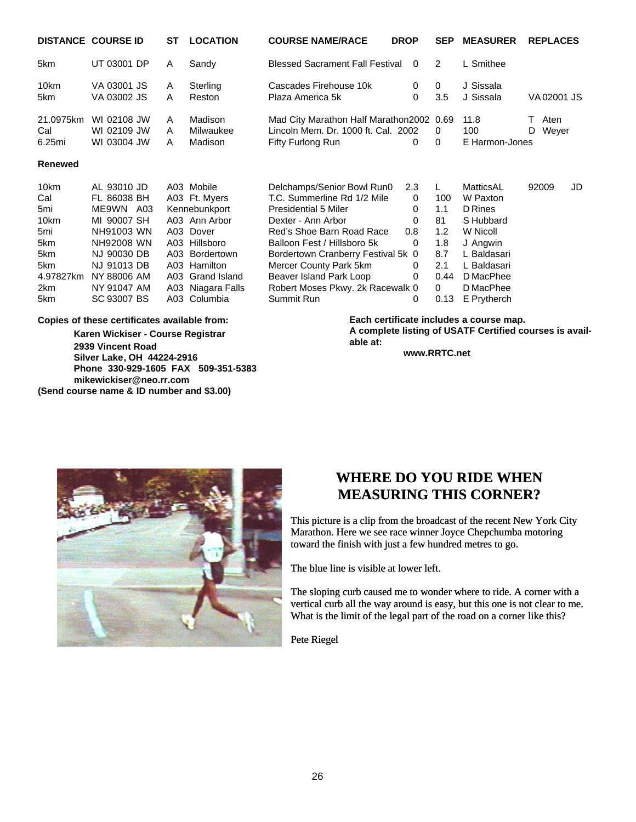|                                                                                   | <b>DISTANCE COURSE ID</b>                                                                                                                                     | ST          | <b>LOCATION</b>                                                                                                                                                                        | <b>COURSE NAME/RACE</b>                                                                                                                                                                                                                                                                                                 | <b>DROP</b>                                                 |                                                                | <b>SEP</b>   | <b>MEASURER</b>                                                                                                                              | <b>REPLACES</b>    |    |
|-----------------------------------------------------------------------------------|---------------------------------------------------------------------------------------------------------------------------------------------------------------|-------------|----------------------------------------------------------------------------------------------------------------------------------------------------------------------------------------|-------------------------------------------------------------------------------------------------------------------------------------------------------------------------------------------------------------------------------------------------------------------------------------------------------------------------|-------------------------------------------------------------|----------------------------------------------------------------|--------------|----------------------------------------------------------------------------------------------------------------------------------------------|--------------------|----|
| 5km                                                                               | UT 03001 DP                                                                                                                                                   | A           | Sandy                                                                                                                                                                                  | <b>Blessed Sacrament Fall Festival</b>                                                                                                                                                                                                                                                                                  | $\Omega$                                                    | $\overline{2}$                                                 |              | L Smithee                                                                                                                                    |                    |    |
| 10km<br>5km                                                                       | VA 03001 JS<br>VA 03002 JS                                                                                                                                    | A<br>A      | Sterling<br>Reston                                                                                                                                                                     | Cascades Firehouse 10k<br>Plaza America 5k                                                                                                                                                                                                                                                                              | $\Omega$<br>0                                               | $\Omega$<br>3.5                                                |              | J Sissala<br>J Sissala                                                                                                                       | VA02001 JS         |    |
| 21.0975km<br>Cal<br>6.25mi                                                        | WI 02108 JW<br>WI 02109 JW<br>WI 03004 JW                                                                                                                     | A<br>A<br>A | Madison<br>Milwaukee<br>Madison                                                                                                                                                        | Mad City Marathon Half Marathon 2002 0.69<br>Lincoln Mem. Dr. 1000 ft. Cal. 2002<br>Fifty Furlong Run                                                                                                                                                                                                                   | 0                                                           | 0<br>0                                                         |              | 11.8<br>100<br>E Harmon-Jones                                                                                                                | Aten<br>Weyer<br>D |    |
| Renewed                                                                           |                                                                                                                                                               |             |                                                                                                                                                                                        |                                                                                                                                                                                                                                                                                                                         |                                                             |                                                                |              |                                                                                                                                              |                    |    |
| 10km<br>Cal<br>5mi<br>10km<br>5mi<br>5km<br>5km<br>5km<br>4.97827km<br>2km<br>5km | AL 93010 JD<br>FL 86038 BH<br>ME9WN A03<br>MI 90007 SH<br>NH91003 WN<br>NH92008 WN<br>NJ 90030 DB<br>NJ 91013 DB<br>NY 88006 AM<br>NY 91047 AM<br>SC 93007 BS |             | A03 Mobile<br>A03 Ft. Myers<br>Kennebunkport<br>A03 Ann Arbor<br>A03 Dover<br>A03 Hillsboro<br>A03 Bordertown<br>A03 Hamilton<br>A03 Grand Island<br>A03 Niagara Falls<br>A03 Columbia | Delchamps/Senior Bowl Run0<br>T.C. Summerline Rd 1/2 Mile<br><b>Presidential 5 Miler</b><br>Dexter - Ann Arbor<br>Red's Shoe Barn Road Race<br>Balloon Fest / Hillsboro 5k<br>Bordertown Cranberry Festival 5k 0<br>Mercer County Park 5km<br>Beaver Island Park Loop<br>Robert Moses Pkwy. 2k Racewalk 0<br>Summit Run | 2.3<br>$\Omega$<br>0<br>$\Omega$<br>0.8<br>0<br>0<br>0<br>0 | L.<br>100<br>1.1<br>81<br>1.2<br>1.8<br>8.7<br>2.1<br>$\Omega$ | 0.44<br>0.13 | MatticsAL<br>W Paxton<br>D Rines<br>S Hubbard<br>W Nicoll<br>J Angwin<br>L Baldasari<br>L Baldasari<br>D MacPhee<br>D MacPhee<br>E Prytherch | 92009              | JD |

#### **Copies of these certificates available from:**

**Karen Wickiser - Course Registrar 2939 Vincent Road Silver Lake, OH 44224-2916 Phone 330-929-1605 FAX 509-351-5383 mikewickiser@neo.rr.com (Send course name & ID number and \$3.00)**

**Each certificate includes a course map. A complete listing of USATF Certified courses is available at:**

**www.RRTC.net**



## **WHERE DO YOU RIDE WHEN MEASURING THIS CORNER?**

This picture is a clip from the broadcast of the recent New York City Marathon. Here we see race winner Joyce Chepchumba motoring toward the finish with just a few hundred metres to go.

The blue line is visible at lower left.

The sloping curb caused me to wonder where to ride. A corner with a vertical curb all the way around is easy, but this one is not clear to me. What is the limit of the legal part of the road on a corner like this?

Pete Riegel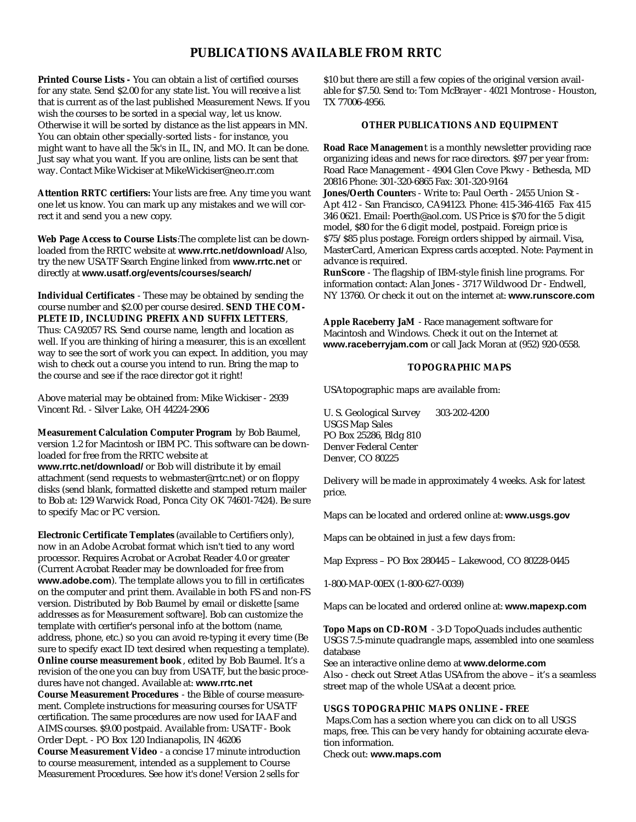#### **PUBLICATIONS AVAILABLE FROM RRTC**

**Printed Course Lists -** You can obtain a list of certified courses for any state. Send \$2.00 for any state list. You will receive a list that is current as of the last published Measurement News. If you wish the courses to be sorted in a special way, let us know. Otherwise it will be sorted by distance as the list appears in MN. You can obtain other specially-sorted lists - for instance, you might want to have all the 5k's in IL, IN, and MO. It can be done. Just say what you want. If you are online, lists can be sent that way. Contact Mike Wickiser at MikeWickiser@neo.rr.com

**Attention RRTC certifiers:** Your lists are free. Any time you want one let us know. You can mark up any mistakes and we will correct it and send you a new copy.

**Web Page Access to Course Lists**:The complete list can be downloaded from the RRTC website at **www.rrtc.net/download/** Also, try the new USATF Search Engine linked from **www.rrtc.net** or directly at **www.usatf.org/events/courses/search/**

**Individual Certificates** - These may be obtained by sending the course number and \$2.00 per course desired. **SEND THE COM-PLETE ID, INCLUDING PREFIX AND SUFFIX LETTERS**, Thus: CA92057 RS. Send course name, length and location as well. If you are thinking of hiring a measurer, this is an excellent way to see the sort of work you can expect. In addition, you may wish to check out a course you intend to run. Bring the map to the course and see if the race director got it right!

Above material may be obtained from: Mike Wickiser - 2939 Vincent Rd. - Silver Lake, OH 44224-2906

**Measurement Calculation Computer Program** by Bob Baumel, version 1.2 for Macintosh or IBM PC. This software can be downloaded for free from the RRTC website at **www.rrtc.net/download/** or Bob will distribute it by email attachment (send requests to webmaster@rrtc.net) or on floppy disks (send blank, formatted diskette and stamped return mailer to Bob at: 129 Warwick Road, Ponca City OK 74601-7424). Be sure to specify Mac or PC version.

**Electronic Certificate Templates** (available to Certifiers only), now in an Adobe Acrobat format which isn't tied to any word processor. Requires Acrobat or Acrobat Reader 4.0 or greater (Current Acrobat Reader may be downloaded for free from **www.adobe.com**). The template allows you to fill in certificates on the computer and print them. Available in both FS and non-FS version. Distributed by Bob Baumel by email or diskette [same addresses as for Measurement software]. Bob can customize the template with certifier's personal info at the bottom (name, address, phone, etc.) so you can avoid re-typing it every time (Be sure to specify exact ID text desired when requesting a template). **Online course measurement book**, edited by Bob Baumel. It's a revision of the one you can buy from USATF, but the basic procedures have not changed. Available at: **www.rrtc.net Course Measurement Procedures** - the Bible of course measurement. Complete instructions for measuring courses for USATF certification. The same procedures are now used for IAAF and AIMS courses. \$9.00 postpaid. Available from: USATF - Book Order Dept. - PO Box 120 Indianapolis, IN 46206 **Course Measurement Video** - a concise 17 minute introduction to course measurement, intended as a supplement to Course Measurement Procedures. See how it's done! Version 2 sells for

\$10 but there are still a few copies of the original version available for \$7.50. Send to: Tom McBrayer - 4021 Montrose - Houston, TX 77006-4956.

#### **OTHER PUBLICATIONS AND EQUIPMENT**

**Road Race Managemen**t is a monthly newsletter providing race organizing ideas and news for race directors. \$97 per year from: Road Race Management - 4904 Glen Cove Pkwy - Bethesda, MD 20816 Phone: 301-320-6865 Fax: 301-320-9164

**Jones/Oerth Counter**s - Write to: Paul Oerth - 2455 Union St - Apt 412 - San Francisco, CA94123. Phone: 415-346-4165 Fax 415 346 0621. Email: Poerth@aol.com. US Price is \$70 for the 5 digit model, \$80 for the 6 digit model, postpaid. Foreign price is \$75/\$85 plus postage. Foreign orders shipped by airmail. Visa, MasterCard, American Express cards accepted. Note: Payment in advance is required.

**RunScore** - The flagship of IBM-style finish line programs. For information contact: Alan Jones - 3717 Wildwood Dr - Endwell, NY 13760. Or check it out on the internet at: **www.runscore.com**

**Apple Raceberry JaM** - Race management software for Macintosh and Windows. Check it out on the Internet at **www.raceberryjam.com** or call Jack Moran at (952) 920-0558.

#### **TOPOGRAPHIC MAPS**

USAtopographic maps are available from:

U. S. Geological Survey 303-202-4200 USGS Map Sales PO Box 25286, Bldg 810 Denver Federal Center Denver, CO 80225

Delivery will be made in approximately 4 weeks. Ask for latest price.

Maps can be located and ordered online at: **www.usgs.gov**

Maps can be obtained in just a few days from:

Map Express – PO Box 280445 – Lakewood, CO 80228-0445

1-800-MAP-00EX (1-800-627-0039)

Maps can be located and ordered online at: **www.mapexp.com**

**Topo Maps on CD-ROM** - 3-D TopoQuads includes authentic USGS 7.5-minute quadrangle maps, assembled into one seamless database

See an interactive online demo at **www.delorme.com** Also - check out Street Atlas USAfrom the above – it's a seamless street map of the whole USAat a decent price.

#### **USGS TOPOGRAPHIC MAPS ONLINE - FREE**

Maps.Com has a section where you can click on to all USGS maps, free. This can be very handy for obtaining accurate elevation information.

Check out: **www.maps.com**